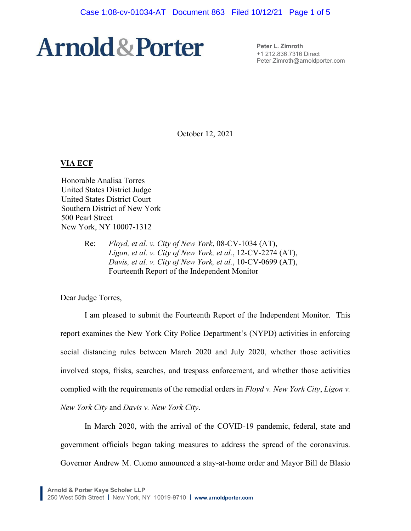**Peter L. Zimroth** +1 212.836.7316 Direct Peter.Zimroth@arnoldporter.com

October 12, 2021

#### **VIA ECF**

Honorable Analisa Torres United States District Judge United States District Court Southern District of New York 500 Pearl Street New York, NY 10007-1312

> Re: *Floyd, et al. v. City of New York*, 08-CV-1034 (AT), *Ligon, et al. v. City of New York, et al.*, 12-CV-2274 (AT), *Davis, et al. v. City of New York, et al.*, 10-CV-0699 (AT), Fourteenth Report of the Independent Monitor

Dear Judge Torres,

I am pleased to submit the Fourteenth Report of the Independent Monitor. This report examines the New York City Police Department's (NYPD) activities in enforcing social distancing rules between March 2020 and July 2020, whether those activities involved stops, frisks, searches, and trespass enforcement, and whether those activities complied with the requirements of the remedial orders in *Floyd v. New York City*, *Ligon v. New York City* and *Davis v. New York City*.

In March 2020, with the arrival of the COVID-19 pandemic, federal, state and government officials began taking measures to address the spread of the coronavirus. Governor Andrew M. Cuomo announced a stay-at-home order and Mayor Bill de Blasio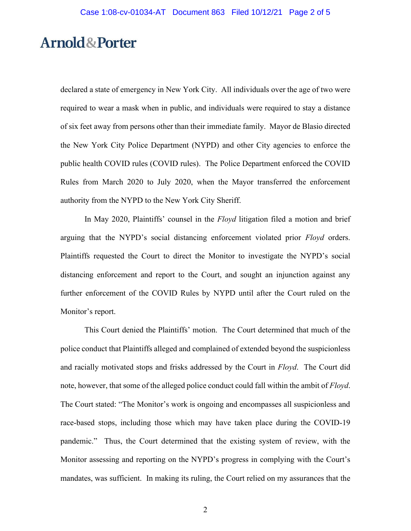declared a state of emergency in New York City. All individuals over the age of two were required to wear a mask when in public, and individuals were required to stay a distance of six feet away from persons other than their immediate family. Mayor de Blasio directed the New York City Police Department (NYPD) and other City agencies to enforce the public health COVID rules (COVID rules). The Police Department enforced the COVID Rules from March 2020 to July 2020, when the Mayor transferred the enforcement authority from the NYPD to the New York City Sheriff.

In May 2020, Plaintiffs' counsel in the *Floyd* litigation filed a motion and brief arguing that the NYPD's social distancing enforcement violated prior *Floyd* orders. Plaintiffs requested the Court to direct the Monitor to investigate the NYPD's social distancing enforcement and report to the Court, and sought an injunction against any further enforcement of the COVID Rules by NYPD until after the Court ruled on the Monitor's report.

This Court denied the Plaintiffs' motion. The Court determined that much of the police conduct that Plaintiffs alleged and complained of extended beyond the suspicionless and racially motivated stops and frisks addressed by the Court in *Floyd*. The Court did note, however, that some of the alleged police conduct could fall within the ambit of *Floyd*. The Court stated: "The Monitor's work is ongoing and encompasses all suspicionless and race-based stops, including those which may have taken place during the COVID-19 pandemic." Thus, the Court determined that the existing system of review, with the Monitor assessing and reporting on the NYPD's progress in complying with the Court's mandates, was sufficient. In making its ruling, the Court relied on my assurances that the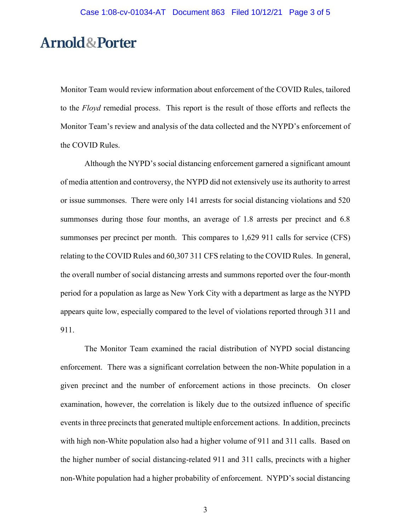Monitor Team would review information about enforcement of the COVID Rules, tailored to the *Floyd* remedial process. This report is the result of those efforts and reflects the Monitor Team's review and analysis of the data collected and the NYPD's enforcement of the COVID Rules.

Although the NYPD's social distancing enforcement garnered a significant amount of media attention and controversy, the NYPD did not extensively use its authority to arrest or issue summonses. There were only 141 arrests for social distancing violations and 520 summonses during those four months, an average of 1.8 arrests per precinct and 6.8 summonses per precinct per month. This compares to 1,629 911 calls for service (CFS) relating to the COVID Rules and 60,307 311 CFS relating to the COVID Rules. In general, the overall number of social distancing arrests and summons reported over the four-month period for a population as large as New York City with a department as large as the NYPD appears quite low, especially compared to the level of violations reported through 311 and 911.

The Monitor Team examined the racial distribution of NYPD social distancing enforcement. There was a significant correlation between the non-White population in a given precinct and the number of enforcement actions in those precincts. On closer examination, however, the correlation is likely due to the outsized influence of specific events in three precincts that generated multiple enforcement actions. In addition, precincts with high non-White population also had a higher volume of 911 and 311 calls. Based on the higher number of social distancing-related 911 and 311 calls, precincts with a higher non-White population had a higher probability of enforcement. NYPD's social distancing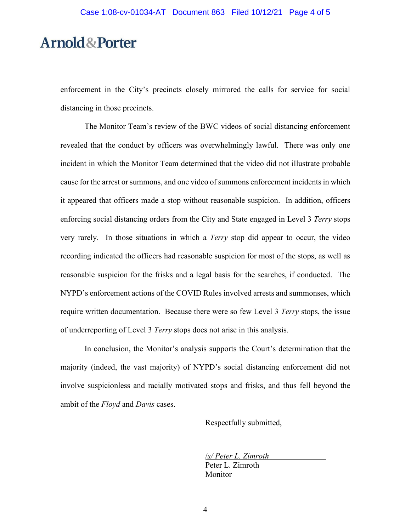enforcement in the City's precincts closely mirrored the calls for service for social distancing in those precincts.

The Monitor Team's review of the BWC videos of social distancing enforcement revealed that the conduct by officers was overwhelmingly lawful. There was only one incident in which the Monitor Team determined that the video did not illustrate probable cause for the arrest or summons, and one video of summons enforcement incidents in which it appeared that officers made a stop without reasonable suspicion. In addition, officers enforcing social distancing orders from the City and State engaged in Level 3 *Terry* stops very rarely. In those situations in which a *Terry* stop did appear to occur, the video recording indicated the officers had reasonable suspicion for most of the stops, as well as reasonable suspicion for the frisks and a legal basis for the searches, if conducted. The NYPD's enforcement actions of the COVID Rules involved arrests and summonses, which require written documentation. Because there were so few Level 3 *Terry* stops, the issue of underreporting of Level 3 *Terry* stops does not arise in this analysis.

In conclusion, the Monitor's analysis supports the Court's determination that the majority (indeed, the vast majority) of NYPD's social distancing enforcement did not involve suspicionless and racially motivated stops and frisks, and thus fell beyond the ambit of the *Floyd* and *Davis* cases.

Respectfully submitted,

/*s/ Peter L. Zimroth* Peter L. Zimroth Monitor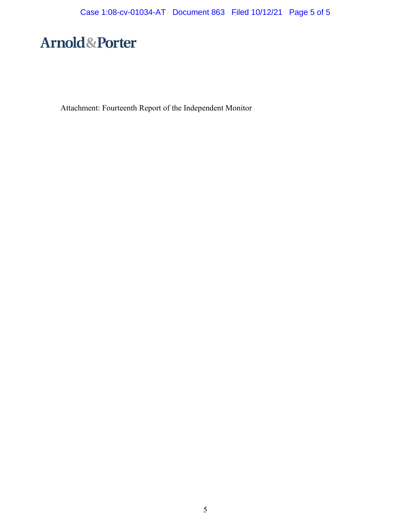Attachment: Fourteenth Report of the Independent Monitor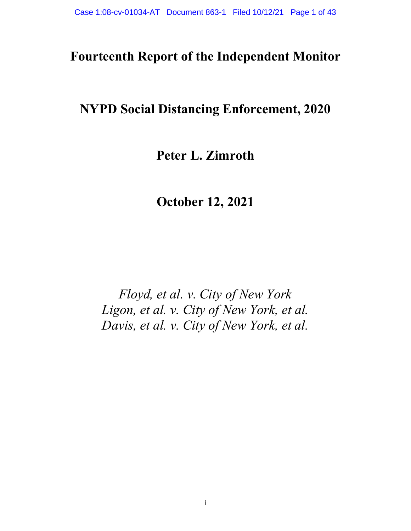### **Fourteenth Report of the Independent Monitor**

### **NYPD Social Distancing Enforcement, 2020**

### **Peter L. Zimroth**

**October 12, 2021**

*Floyd, et al. v. City of New York Ligon, et al. v. City of New York, et al. Davis, et al. v. City of New York, et al.*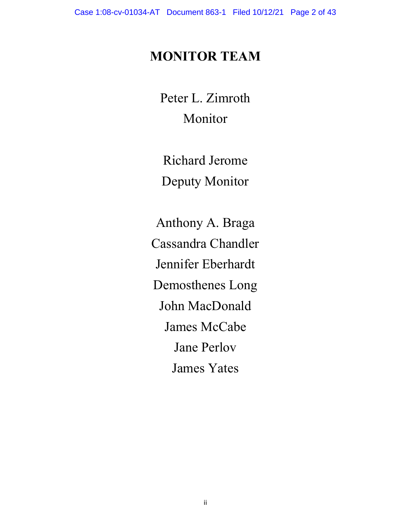# **MONITOR TEAM**

Peter L. Zimroth Monitor

Richard Jerome Deputy Monitor

Anthony A. Braga Cassandra Chandler Jennifer Eberhardt Demosthenes Long John MacDonald James McCabe Jane Perlov James Yates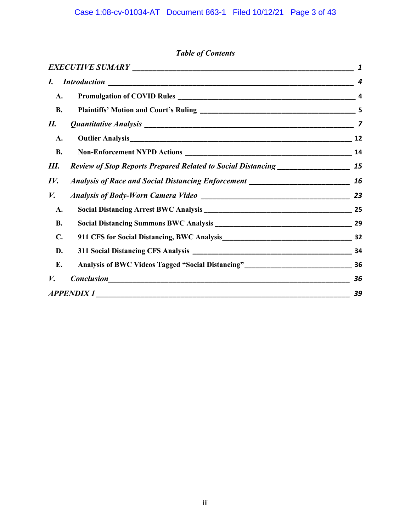### *Table of Contents*

| $\bm{I}$         |                                                                                  | 4  |  |  |  |  |
|------------------|----------------------------------------------------------------------------------|----|--|--|--|--|
| A.               |                                                                                  | 4  |  |  |  |  |
| <b>B.</b>        |                                                                                  |    |  |  |  |  |
| П.               |                                                                                  |    |  |  |  |  |
| A.               |                                                                                  | 12 |  |  |  |  |
| <b>B.</b>        |                                                                                  | 14 |  |  |  |  |
| Ш.               | Review of Stop Reports Prepared Related to Social Distancing ___________________ | 15 |  |  |  |  |
| $I\mathcal{V}$ . | Analysis of Race and Social Distancing Enforcement _____________________________ | 16 |  |  |  |  |
| V.               |                                                                                  | 23 |  |  |  |  |
| A.               |                                                                                  | 25 |  |  |  |  |
| <b>B.</b>        |                                                                                  |    |  |  |  |  |
| $\mathbf{C}$ .   |                                                                                  |    |  |  |  |  |
| D.               |                                                                                  |    |  |  |  |  |
| Е.               | Analysis of BWC Videos Tagged "Social Distancing"_______________________________ | 36 |  |  |  |  |
| V.               |                                                                                  | 36 |  |  |  |  |
|                  |                                                                                  | 39 |  |  |  |  |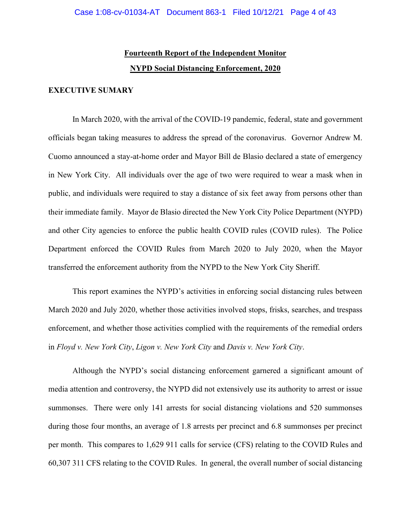### **Fourteenth Report of the Independent Monitor NYPD Social Distancing Enforcement, 2020**

#### <span id="page-8-0"></span>**EXECUTIVE SUMARY**

In March 2020, with the arrival of the COVID-19 pandemic, federal, state and government officials began taking measures to address the spread of the coronavirus. Governor Andrew M. Cuomo announced a stay-at-home order and Mayor Bill de Blasio declared a state of emergency in New York City. All individuals over the age of two were required to wear a mask when in public, and individuals were required to stay a distance of six feet away from persons other than their immediate family. Mayor de Blasio directed the New York City Police Department (NYPD) and other City agencies to enforce the public health COVID rules (COVID rules). The Police Department enforced the COVID Rules from March 2020 to July 2020, when the Mayor transferred the enforcement authority from the NYPD to the New York City Sheriff.

This report examines the NYPD's activities in enforcing social distancing rules between March 2020 and July 2020, whether those activities involved stops, frisks, searches, and trespass enforcement, and whether those activities complied with the requirements of the remedial orders in *Floyd v. New York City*, *Ligon v. New York City* and *Davis v. New York City*.

Although the NYPD's social distancing enforcement garnered a significant amount of media attention and controversy, the NYPD did not extensively use its authority to arrest or issue summonses. There were only 141 arrests for social distancing violations and 520 summonses during those four months, an average of 1.8 arrests per precinct and 6.8 summonses per precinct per month. This compares to 1,629 911 calls for service (CFS) relating to the COVID Rules and 60,307 311 CFS relating to the COVID Rules. In general, the overall number of social distancing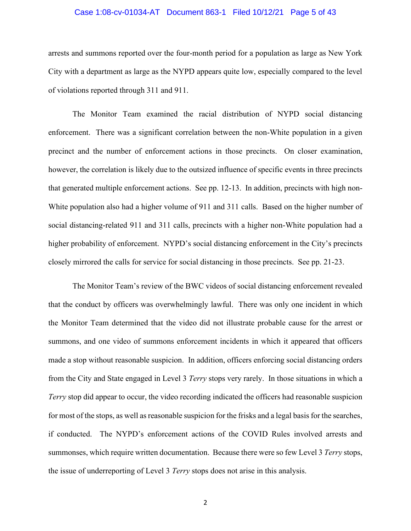#### Case 1:08-cv-01034-AT Document 863-1 Filed 10/12/21 Page 5 of 43

arrests and summons reported over the four-month period for a population as large as New York City with a department as large as the NYPD appears quite low, especially compared to the level of violations reported through 311 and 911.

The Monitor Team examined the racial distribution of NYPD social distancing enforcement. There was a significant correlation between the non-White population in a given precinct and the number of enforcement actions in those precincts. On closer examination, however, the correlation is likely due to the outsized influence of specific events in three precincts that generated multiple enforcement actions. See pp. 12-13. In addition, precincts with high non-White population also had a higher volume of 911 and 311 calls. Based on the higher number of social distancing-related 911 and 311 calls, precincts with a higher non-White population had a higher probability of enforcement. NYPD's social distancing enforcement in the City's precincts closely mirrored the calls for service for social distancing in those precincts. See pp. 21-23.

The Monitor Team's review of the BWC videos of social distancing enforcement revealed that the conduct by officers was overwhelmingly lawful. There was only one incident in which the Monitor Team determined that the video did not illustrate probable cause for the arrest or summons, and one video of summons enforcement incidents in which it appeared that officers made a stop without reasonable suspicion. In addition, officers enforcing social distancing orders from the City and State engaged in Level 3 *Terry* stops very rarely. In those situations in which a *Terry* stop did appear to occur, the video recording indicated the officers had reasonable suspicion for most of the stops, as well as reasonable suspicion for the frisks and a legal basis for the searches, if conducted. The NYPD's enforcement actions of the COVID Rules involved arrests and summonses, which require written documentation. Because there were so few Level 3 *Terry* stops, the issue of underreporting of Level 3 *Terry* stops does not arise in this analysis.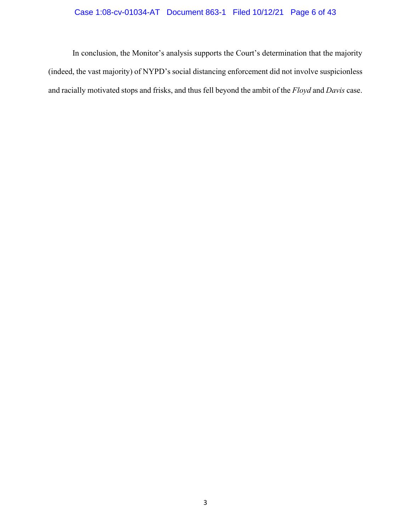### Case 1:08-cv-01034-AT Document 863-1 Filed 10/12/21 Page 6 of 43

In conclusion, the Monitor's analysis supports the Court's determination that the majority (indeed, the vast majority) of NYPD's social distancing enforcement did not involve suspicionless and racially motivated stops and frisks, and thus fell beyond the ambit of the *Floyd* and *Davis* case.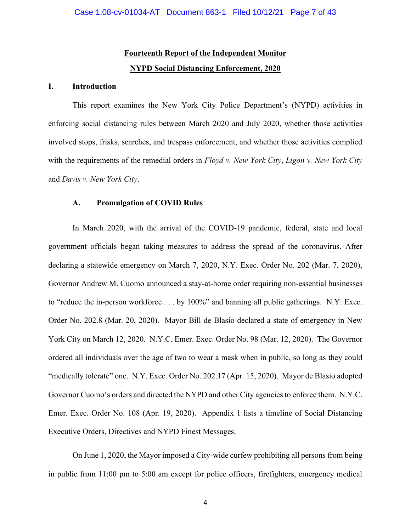### **Fourteenth Report of the Independent Monitor NYPD Social Distancing Enforcement, 2020**

#### <span id="page-11-0"></span>**I. Introduction**

This report examines the New York City Police Department's (NYPD) activities in enforcing social distancing rules between March 2020 and July 2020, whether those activities involved stops, frisks, searches, and trespass enforcement, and whether those activities complied with the requirements of the remedial orders in *Floyd v. New York City*, *Ligon v. New York City*  and *Davis v. New York City*.

#### <span id="page-11-1"></span>**A. Promulgation of COVID Rules**

In March 2020, with the arrival of the COVID-19 pandemic, federal, state and local government officials began taking measures to address the spread of the coronavirus. After declaring a statewide emergency on March 7, 2020, N.Y. Exec. Order No. 202 (Mar. 7, 2020), Governor Andrew M. Cuomo announced a stay-at-home order requiring non-essential businesses to "reduce the in-person workforce . . . by 100%" and banning all public gatherings. N.Y. Exec. Order No. 202.8 (Mar. 20, 2020). Mayor Bill de Blasio declared a state of emergency in New York City on March 12, 2020. N.Y.C. Emer. Exec. Order No. 98 (Mar. 12, 2020). The Governor ordered all individuals over the age of two to wear a mask when in public, so long as they could "medically tolerate" one. N.Y. Exec. Order No. 202.17 (Apr. 15, 2020). Mayor de Blasio adopted Governor Cuomo's orders and directed the NYPD and other City agencies to enforce them. N.Y.C. Emer. Exec. Order No. 108 (Apr. 19, 2020). Appendix 1 lists a timeline of Social Distancing Executive Orders, Directives and NYPD Finest Messages.

On June 1, 2020, the Mayor imposed a City-wide curfew prohibiting all persons from being in public from 11:00 pm to 5:00 am except for police officers, firefighters, emergency medical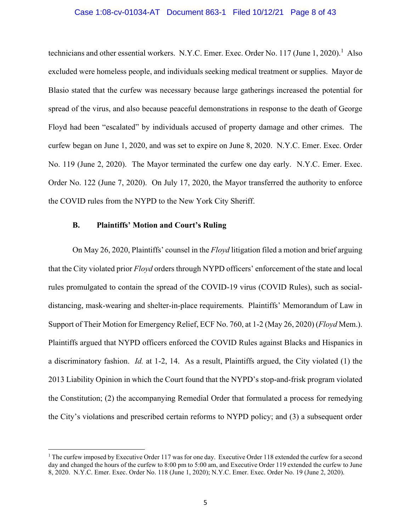#### Case 1:08-cv-01034-AT Document 863-1 Filed 10/12/21 Page 8 of 43

technicians and other essential workers. N.Y.C. Emer. Exec. Order No. 117 (June 1, 2020).<sup>1</sup> Also excluded were homeless people, and individuals seeking medical treatment or supplies. Mayor de Blasio stated that the curfew was necessary because large gatherings increased the potential for spread of the virus, and also because peaceful demonstrations in response to the death of George Floyd had been "escalated" by individuals accused of property damage and other crimes. The curfew began on June 1, 2020, and was set to expire on June 8, 2020. N.Y.C. Emer. Exec. Order No. 119 (June 2, 2020). The Mayor terminated the curfew one day early. N.Y.C. Emer. Exec. Order No. 122 (June 7, 2020). On July 17, 2020, the Mayor transferred the authority to enforce the COVID rules from the NYPD to the New York City Sheriff.

#### <span id="page-12-0"></span>**B. Plaintiffs' Motion and Court's Ruling**

On May 26, 2020, Plaintiffs' counsel in the *Floyd* litigation filed a motion and brief arguing that the City violated prior *Floyd* orders through NYPD officers' enforcement of the state and local rules promulgated to contain the spread of the COVID-19 virus (COVID Rules), such as socialdistancing, mask-wearing and shelter-in-place requirements. Plaintiffs' Memorandum of Law in Support of Their Motion for Emergency Relief, ECF No. 760, at 1-2 (May 26, 2020) (*Floyd* Mem.). Plaintiffs argued that NYPD officers enforced the COVID Rules against Blacks and Hispanics in a discriminatory fashion. *Id.* at 1-2, 14. As a result, Plaintiffs argued, the City violated (1) the 2013 Liability Opinion in which the Court found that the NYPD's stop-and-frisk program violated the Constitution; (2) the accompanying Remedial Order that formulated a process for remedying the City's violations and prescribed certain reforms to NYPD policy; and (3) a subsequent order

<sup>&</sup>lt;sup>1</sup> The curfew imposed by Executive Order 117 was for one day. Executive Order 118 extended the curfew for a second day and changed the hours of the curfew to 8:00 pm to 5:00 am, and Executive Order 119 extended the curfew to June 8, 2020. N.Y.C. Emer. Exec. Order No. 118 (June 1, 2020); N.Y.C. Emer. Exec. Order No. 19 (June 2, 2020).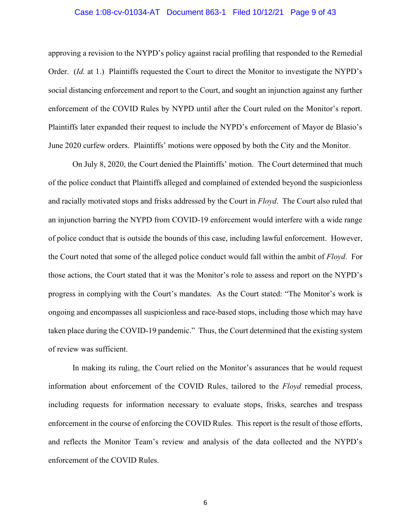#### Case 1:08-cv-01034-AT Document 863-1 Filed 10/12/21 Page 9 of 43

approving a revision to the NYPD's policy against racial profiling that responded to the Remedial Order. (*Id.* at 1.) Plaintiffs requested the Court to direct the Monitor to investigate the NYPD's social distancing enforcement and report to the Court, and sought an injunction against any further enforcement of the COVID Rules by NYPD until after the Court ruled on the Monitor's report. Plaintiffs later expanded their request to include the NYPD's enforcement of Mayor de Blasio's June 2020 curfew orders. Plaintiffs' motions were opposed by both the City and the Monitor.

On July 8, 2020, the Court denied the Plaintiffs' motion. The Court determined that much of the police conduct that Plaintiffs alleged and complained of extended beyond the suspicionless and racially motivated stops and frisks addressed by the Court in *Floyd*. The Court also ruled that an injunction barring the NYPD from COVID-19 enforcement would interfere with a wide range of police conduct that is outside the bounds of this case, including lawful enforcement. However, the Court noted that some of the alleged police conduct would fall within the ambit of *Floyd*. For those actions, the Court stated that it was the Monitor's role to assess and report on the NYPD's progress in complying with the Court's mandates. As the Court stated: "The Monitor's work is ongoing and encompasses all suspicionless and race-based stops, including those which may have taken place during the COVID-19 pandemic." Thus, the Court determined that the existing system of review was sufficient.

In making its ruling, the Court relied on the Monitor's assurances that he would request information about enforcement of the COVID Rules, tailored to the *Floyd* remedial process, including requests for information necessary to evaluate stops, frisks, searches and trespass enforcement in the course of enforcing the COVID Rules. This report is the result of those efforts, and reflects the Monitor Team's review and analysis of the data collected and the NYPD's enforcement of the COVID Rules.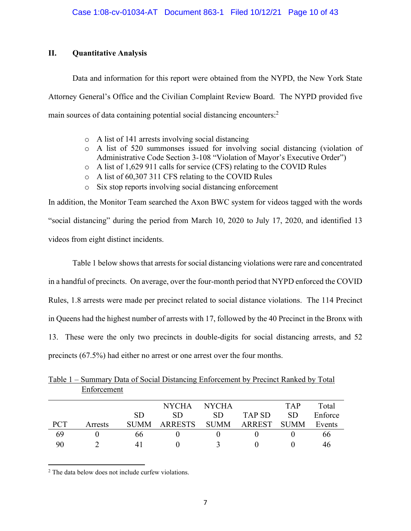#### <span id="page-14-0"></span>**II. Quantitative Analysis**

Data and information for this report were obtained from the NYPD, the New York State Attorney General's Office and the Civilian Complaint Review Board. The NYPD provided five main sources of data containing potential social distancing encounters:<sup>2</sup>

- o A list of 141 arrests involving social distancing
- o A list of 520 summonses issued for involving social distancing (violation of Administrative Code Section 3-108 "Violation of Mayor's Executive Order")
- o A list of 1,629 911 calls for service (CFS) relating to the COVID Rules
- o A list of 60,307 311 CFS relating to the COVID Rules
- o Six stop reports involving social distancing enforcement

In addition, the Monitor Team searched the Axon BWC system for videos tagged with the words "social distancing" during the period from March 10, 2020 to July 17, 2020, and identified 13 videos from eight distinct incidents.

Table 1 below shows that arrests for social distancing violations were rare and concentrated in a handful of precincts. On average, over the four-month period that NYPD enforced the COVID Rules, 1.8 arrests were made per precinct related to social distance violations. The 114 Precinct in Queens had the highest number of arrests with 17, followed by the 40 Precinct in the Bronx with 13. These were the only two precincts in double-digits for social distancing arrests, and 52 precincts (67.5%) had either no arrest or one arrest over the four months.

|            | Liholoohiviit |             |                |              |        |            |         |
|------------|---------------|-------------|----------------|--------------|--------|------------|---------|
|            |               |             | <b>NYCHA</b>   | <b>NYCHA</b> |        | <b>TAP</b> | Total   |
|            |               | <b>SD</b>   | SD.            | <b>SD</b>    | TAP SD | <b>SD</b>  | Enforce |
| <b>PCT</b> | Arrests       | <b>SUMM</b> | <b>ARRESTS</b> | <b>SUMM</b>  | ARREST | – SUMM     | Events  |
| 69         |               | 66          |                |              |        |            | 66      |
| 90         |               | 4 I         |                |              |        |            | 46      |

Table 1 – Summary Data of Social Distancing Enforcement by Precinct Ranked by Total Enforcement

<sup>2</sup> The data below does not include curfew violations.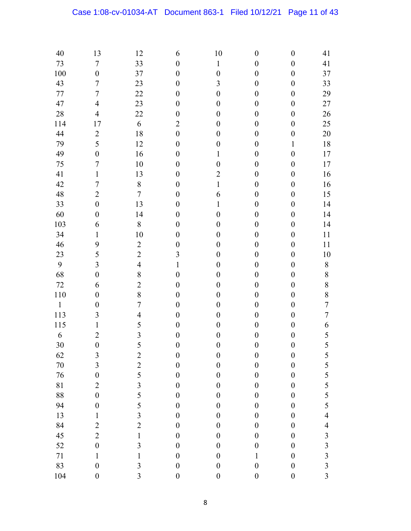| 40           | 13                      | 12                      | 6                | 10               | $\boldsymbol{0}$ | $\boldsymbol{0}$ | 41                       |
|--------------|-------------------------|-------------------------|------------------|------------------|------------------|------------------|--------------------------|
| 73           | $\boldsymbol{7}$        | 33                      | $\boldsymbol{0}$ | $\mathbf{1}$     | $\boldsymbol{0}$ | $\boldsymbol{0}$ | 41                       |
| 100          | $\boldsymbol{0}$        | 37                      | $\boldsymbol{0}$ | $\boldsymbol{0}$ | $\boldsymbol{0}$ | $\boldsymbol{0}$ | 37                       |
| 43           | $\overline{7}$          | 23                      | $\boldsymbol{0}$ | $\overline{3}$   | $\boldsymbol{0}$ | $\boldsymbol{0}$ | 33                       |
| 77           | $\boldsymbol{7}$        | 22                      | $\boldsymbol{0}$ | $\boldsymbol{0}$ | $\boldsymbol{0}$ | $\boldsymbol{0}$ | 29                       |
| 47           | $\overline{4}$          | 23                      | $\boldsymbol{0}$ | $\boldsymbol{0}$ | $\boldsymbol{0}$ | $\boldsymbol{0}$ | 27                       |
| 28           | $\overline{4}$          | 22                      | $\boldsymbol{0}$ | $\boldsymbol{0}$ | $\boldsymbol{0}$ | $\boldsymbol{0}$ | 26                       |
| 114          | 17                      | 6                       | $\overline{2}$   | $\boldsymbol{0}$ | $\boldsymbol{0}$ | $\boldsymbol{0}$ | 25                       |
| 44           | $\overline{2}$          | 18                      | $\boldsymbol{0}$ | $\boldsymbol{0}$ | $\boldsymbol{0}$ | $\boldsymbol{0}$ | 20                       |
| 79           | 5                       | 12                      | $\boldsymbol{0}$ | $\boldsymbol{0}$ | $\boldsymbol{0}$ | $\mathbf{1}$     | 18                       |
| 49           | $\boldsymbol{0}$        | 16                      | $\boldsymbol{0}$ | $\mathbf{1}$     | $\boldsymbol{0}$ | $\boldsymbol{0}$ | 17                       |
| 75           | $\overline{7}$          | 10                      | $\boldsymbol{0}$ | $\boldsymbol{0}$ | $\boldsymbol{0}$ | $\boldsymbol{0}$ | 17                       |
| 41           | $\mathbf{1}$            | 13                      | $\boldsymbol{0}$ | $\overline{2}$   | $\boldsymbol{0}$ | $\boldsymbol{0}$ | 16                       |
| 42           | $\overline{7}$          | $\,$ $\,$               | $\boldsymbol{0}$ | $\mathbf{1}$     | $\boldsymbol{0}$ | $\boldsymbol{0}$ | 16                       |
| 48           | $\overline{2}$          | $\boldsymbol{7}$        | $\boldsymbol{0}$ | 6                | $\boldsymbol{0}$ | $\boldsymbol{0}$ | 15                       |
| 33           | $\boldsymbol{0}$        | 13                      | $\boldsymbol{0}$ | $\mathbf{1}$     | $\boldsymbol{0}$ | $\boldsymbol{0}$ | 14                       |
| 60           | $\boldsymbol{0}$        | 14                      | $\boldsymbol{0}$ | $\boldsymbol{0}$ | $\boldsymbol{0}$ | $\boldsymbol{0}$ | 14                       |
| 103          | 6                       | $\,$ $\,$               | $\boldsymbol{0}$ | $\boldsymbol{0}$ | $\boldsymbol{0}$ | $\boldsymbol{0}$ | 14                       |
| 34           | $\mathbf{1}$            | 10                      | $\boldsymbol{0}$ | $\boldsymbol{0}$ | $\boldsymbol{0}$ | $\boldsymbol{0}$ | 11                       |
| 46           | 9                       | $\overline{2}$          | $\boldsymbol{0}$ | $\boldsymbol{0}$ | $\boldsymbol{0}$ | $\boldsymbol{0}$ | 11                       |
| 23           | 5                       | $\overline{c}$          | $\overline{3}$   | $\boldsymbol{0}$ | $\boldsymbol{0}$ | $\boldsymbol{0}$ | 10                       |
| 9            | $\overline{\mathbf{3}}$ | $\overline{4}$          | $\mathbf{1}$     | $\boldsymbol{0}$ | $\boldsymbol{0}$ | $\boldsymbol{0}$ | 8                        |
| 68           | $\boldsymbol{0}$        | $\,8$                   | $\boldsymbol{0}$ | $\boldsymbol{0}$ | $\boldsymbol{0}$ | $\boldsymbol{0}$ | 8                        |
| 72           | 6                       | $\overline{2}$          | $\boldsymbol{0}$ | $\boldsymbol{0}$ | $\boldsymbol{0}$ | $\boldsymbol{0}$ | 8                        |
| 110          | $\boldsymbol{0}$        | 8                       | $\boldsymbol{0}$ | $\boldsymbol{0}$ | $\boldsymbol{0}$ | $\boldsymbol{0}$ | 8                        |
| $\mathbf{1}$ | $\boldsymbol{0}$        | $\sqrt{ }$              | $\boldsymbol{0}$ | $\boldsymbol{0}$ | $\boldsymbol{0}$ | $\boldsymbol{0}$ | $\overline{7}$           |
| 113          | 3                       | $\overline{4}$          | $\boldsymbol{0}$ | $\boldsymbol{0}$ | $\boldsymbol{0}$ | $\boldsymbol{0}$ | $\overline{7}$           |
| 115          | $\mathbf{1}$            | 5                       | $\boldsymbol{0}$ | $\boldsymbol{0}$ | $\boldsymbol{0}$ | $\boldsymbol{0}$ | 6                        |
| 6            | $\overline{2}$          | $\overline{3}$          | $\boldsymbol{0}$ | $\boldsymbol{0}$ | $\boldsymbol{0}$ | $\boldsymbol{0}$ | 5                        |
| 30           | $\boldsymbol{0}$        | 5                       | $\boldsymbol{0}$ | $\boldsymbol{0}$ | $\boldsymbol{0}$ | $\boldsymbol{0}$ | 5                        |
| 62           | $\mathfrak{Z}$          | $\overline{c}$          | $\boldsymbol{0}$ | $\boldsymbol{0}$ | $\boldsymbol{0}$ | $\boldsymbol{0}$ | 5                        |
| 70           | $\overline{\mathbf{3}}$ | $\overline{c}$          | $\boldsymbol{0}$ | $\boldsymbol{0}$ | $\boldsymbol{0}$ | $\boldsymbol{0}$ | 5                        |
| 76           | $\boldsymbol{0}$        | 5                       | $\boldsymbol{0}$ | $\boldsymbol{0}$ | $\boldsymbol{0}$ | $\boldsymbol{0}$ | $rac{5}{5}$              |
| 81           | $\overline{2}$          | $\overline{\mathbf{3}}$ | $\boldsymbol{0}$ | $\boldsymbol{0}$ | $\boldsymbol{0}$ | $\boldsymbol{0}$ |                          |
| 88           | $\overline{0}$          | 5                       | $\boldsymbol{0}$ | $\boldsymbol{0}$ | $\boldsymbol{0}$ | $\boldsymbol{0}$ | 5                        |
| 94           | $\boldsymbol{0}$        | 5                       | $\boldsymbol{0}$ | $\boldsymbol{0}$ | $\boldsymbol{0}$ | $\boldsymbol{0}$ | 5                        |
| 13           | $\mathbf{1}$            | $\overline{\mathbf{3}}$ | $\boldsymbol{0}$ | $\boldsymbol{0}$ | $\boldsymbol{0}$ | $\boldsymbol{0}$ | $\overline{\mathcal{A}}$ |
| 84           | $\overline{2}$          | $\overline{2}$          | $\boldsymbol{0}$ | $\boldsymbol{0}$ | $\boldsymbol{0}$ | $\boldsymbol{0}$ | $\overline{\mathcal{L}}$ |
| 45           | $\overline{2}$          | $\mathbbm{1}$           | $\boldsymbol{0}$ | $\boldsymbol{0}$ | $\boldsymbol{0}$ | $\boldsymbol{0}$ | $\overline{\mathbf{3}}$  |
| 52           | $\boldsymbol{0}$        | $\overline{\mathbf{3}}$ | $\boldsymbol{0}$ | $\boldsymbol{0}$ | $\boldsymbol{0}$ | $\boldsymbol{0}$ | $\overline{3}$           |
| 71           | $\mathbf{1}$            | $\mathbf{1}$            | $\boldsymbol{0}$ | $\boldsymbol{0}$ | $\mathbf 1$      | $\boldsymbol{0}$ | $\overline{\mathbf{3}}$  |
| 83           | $\boldsymbol{0}$        | 3                       | $\boldsymbol{0}$ | $\boldsymbol{0}$ | $\boldsymbol{0}$ | $\boldsymbol{0}$ | $\overline{3}$           |
| 104          | $\boldsymbol{0}$        | $\overline{\mathbf{3}}$ | $\boldsymbol{0}$ | $\boldsymbol{0}$ | $\boldsymbol{0}$ | $\boldsymbol{0}$ | $\overline{3}$           |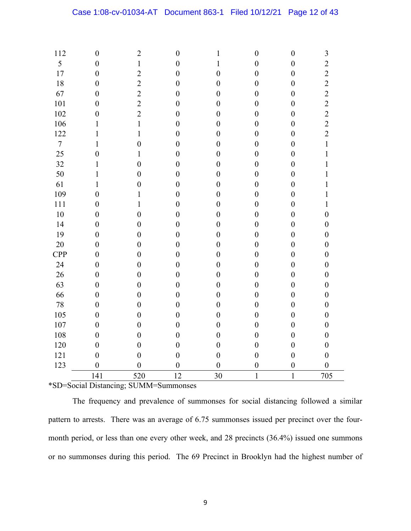| 112              | $\boldsymbol{0}$ | $\overline{2}$   | $\boldsymbol{0}$ | $\mathbf{1}$     | $\boldsymbol{0}$ | $\boldsymbol{0}$ | 3                |
|------------------|------------------|------------------|------------------|------------------|------------------|------------------|------------------|
| 5                | $\boldsymbol{0}$ | $\mathbf{1}$     | $\boldsymbol{0}$ | $\mathbf 1$      | $\boldsymbol{0}$ | $\boldsymbol{0}$ | $\overline{c}$   |
| 17               | $\boldsymbol{0}$ | $\overline{2}$   | $\boldsymbol{0}$ | $\boldsymbol{0}$ | $\boldsymbol{0}$ | $\boldsymbol{0}$ | $\overline{c}$   |
| 18               | $\boldsymbol{0}$ | $\overline{2}$   | $\boldsymbol{0}$ | $\boldsymbol{0}$ | $\boldsymbol{0}$ | $\boldsymbol{0}$ | $\overline{c}$   |
| 67               | $\boldsymbol{0}$ | $\overline{2}$   | $\boldsymbol{0}$ | $\boldsymbol{0}$ | $\boldsymbol{0}$ | $\boldsymbol{0}$ | $\overline{2}$   |
| 101              | $\boldsymbol{0}$ | $\overline{2}$   | $\boldsymbol{0}$ | $\boldsymbol{0}$ | $\boldsymbol{0}$ | $\boldsymbol{0}$ | $\frac{2}{2}$    |
| 102              | $\boldsymbol{0}$ | $\overline{2}$   | $\boldsymbol{0}$ | $\boldsymbol{0}$ | $\boldsymbol{0}$ | $\boldsymbol{0}$ |                  |
| 106              | $\mathbf{1}$     | $\mathbf{1}$     | $\boldsymbol{0}$ | $\boldsymbol{0}$ | $\boldsymbol{0}$ | $\boldsymbol{0}$ | $\overline{c}$   |
| 122              | $\mathbf{1}$     | $\mathbf{1}$     | $\boldsymbol{0}$ | $\boldsymbol{0}$ | $\boldsymbol{0}$ | $\boldsymbol{0}$ | $\overline{2}$   |
| $\boldsymbol{7}$ | $\mathbf{1}$     | $\boldsymbol{0}$ | $\boldsymbol{0}$ | $\boldsymbol{0}$ | $\boldsymbol{0}$ | $\boldsymbol{0}$ | $\mathbf{1}$     |
| 25               | $\mathbf{0}$     | $\mathbf{1}$     | $\boldsymbol{0}$ | $\boldsymbol{0}$ | $\boldsymbol{0}$ | $\boldsymbol{0}$ | $\mathbf{1}$     |
| 32               | $\mathbf{1}$     | $\overline{0}$   | $\boldsymbol{0}$ | $\boldsymbol{0}$ | $\boldsymbol{0}$ | $\boldsymbol{0}$ | $\mathbf{1}$     |
| 50               | $\mathbf{1}$     | $\overline{0}$   | $\boldsymbol{0}$ | $\boldsymbol{0}$ | $\boldsymbol{0}$ | $\boldsymbol{0}$ | $\mathbf{1}$     |
| 61               | $\mathbf{1}$     | $\boldsymbol{0}$ | $\boldsymbol{0}$ | $\boldsymbol{0}$ | $\boldsymbol{0}$ | $\boldsymbol{0}$ | $\mathbf{1}$     |
| 109              | $\boldsymbol{0}$ | $\mathbf{1}$     | $\boldsymbol{0}$ | $\boldsymbol{0}$ | $\boldsymbol{0}$ | $\boldsymbol{0}$ | $\mathbf{1}$     |
| 111              | $\boldsymbol{0}$ | $\mathbf{1}$     | $\boldsymbol{0}$ | $\boldsymbol{0}$ | $\boldsymbol{0}$ | $\boldsymbol{0}$ | $\mathbf{1}$     |
| 10               | $\boldsymbol{0}$ | $\boldsymbol{0}$ | $\boldsymbol{0}$ | $\boldsymbol{0}$ | $\boldsymbol{0}$ | $\boldsymbol{0}$ | $\boldsymbol{0}$ |
| 14               | $\boldsymbol{0}$ | $\boldsymbol{0}$ | $\boldsymbol{0}$ | $\boldsymbol{0}$ | $\boldsymbol{0}$ | $\boldsymbol{0}$ | $\boldsymbol{0}$ |
| 19               | $\boldsymbol{0}$ | $\overline{0}$   | $\boldsymbol{0}$ | $\boldsymbol{0}$ | $\boldsymbol{0}$ | $\boldsymbol{0}$ | $\boldsymbol{0}$ |
| 20               | $\boldsymbol{0}$ | $\boldsymbol{0}$ | $\boldsymbol{0}$ | $\boldsymbol{0}$ | $\boldsymbol{0}$ | $\boldsymbol{0}$ | $\boldsymbol{0}$ |
| <b>CPP</b>       | $\boldsymbol{0}$ | $\overline{0}$   | $\boldsymbol{0}$ | $\boldsymbol{0}$ | $\boldsymbol{0}$ | $\boldsymbol{0}$ | $\boldsymbol{0}$ |
| 24               | $\boldsymbol{0}$ | $\boldsymbol{0}$ | $\boldsymbol{0}$ | $\boldsymbol{0}$ | $\boldsymbol{0}$ | $\boldsymbol{0}$ | $\boldsymbol{0}$ |
| 26               | $\boldsymbol{0}$ | $\boldsymbol{0}$ | $\boldsymbol{0}$ | $\boldsymbol{0}$ | $\boldsymbol{0}$ | $\boldsymbol{0}$ | $\boldsymbol{0}$ |
| 63               | $\boldsymbol{0}$ | $\boldsymbol{0}$ | $\boldsymbol{0}$ | $\boldsymbol{0}$ | $\boldsymbol{0}$ | $\boldsymbol{0}$ | $\boldsymbol{0}$ |
| 66               | $\boldsymbol{0}$ | $\boldsymbol{0}$ | $\boldsymbol{0}$ | $\boldsymbol{0}$ | $\boldsymbol{0}$ | $\boldsymbol{0}$ | $\boldsymbol{0}$ |
| 78               | $\boldsymbol{0}$ | $\boldsymbol{0}$ | $\boldsymbol{0}$ | $\boldsymbol{0}$ | $\boldsymbol{0}$ | $\boldsymbol{0}$ | $\boldsymbol{0}$ |
| 105              | $\boldsymbol{0}$ | $\boldsymbol{0}$ | $\boldsymbol{0}$ | $\boldsymbol{0}$ | $\boldsymbol{0}$ | $\boldsymbol{0}$ | $\boldsymbol{0}$ |
| 107              | $\boldsymbol{0}$ | $\overline{0}$   | $\boldsymbol{0}$ | $\boldsymbol{0}$ | $\boldsymbol{0}$ | $\boldsymbol{0}$ | $\boldsymbol{0}$ |
| 108              | $\boldsymbol{0}$ | $\boldsymbol{0}$ | $\boldsymbol{0}$ | $\boldsymbol{0}$ | $\boldsymbol{0}$ | $\boldsymbol{0}$ | $\boldsymbol{0}$ |
| 120              | $\boldsymbol{0}$ | $\overline{0}$   | $\boldsymbol{0}$ | $\boldsymbol{0}$ | $\boldsymbol{0}$ | $\boldsymbol{0}$ | $\boldsymbol{0}$ |
| 121              | $\boldsymbol{0}$ | $\boldsymbol{0}$ | $\boldsymbol{0}$ | $\boldsymbol{0}$ | $\boldsymbol{0}$ | $\boldsymbol{0}$ | $\boldsymbol{0}$ |
| 123              | $\boldsymbol{0}$ | $\overline{0}$   | $\boldsymbol{0}$ | $\boldsymbol{0}$ | $\boldsymbol{0}$ | $\boldsymbol{0}$ | $\boldsymbol{0}$ |
|                  | 141              | 520              | 12               | 30               | $\mathbf{1}$     | $\mathbf{1}$     | 705              |

\*SD=Social Distancing; SUMM=Summonses

The frequency and prevalence of summonses for social distancing followed a similar pattern to arrests. There was an average of 6.75 summonses issued per precinct over the fourmonth period, or less than one every other week, and 28 precincts (36.4%) issued one summons or no summonses during this period. The 69 Precinct in Brooklyn had the highest number of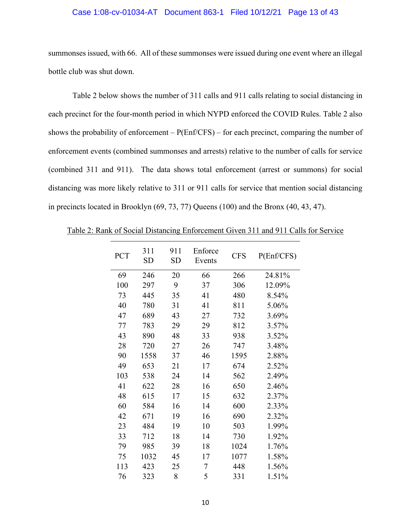#### Case 1:08-cv-01034-AT Document 863-1 Filed 10/12/21 Page 13 of 43

summonses issued, with 66. All of these summonses were issued during one event where an illegal bottle club was shut down.

Table 2 below shows the number of 311 calls and 911 calls relating to social distancing in each precinct for the four-month period in which NYPD enforced the COVID Rules. Table 2 also shows the probability of enforcement  $-P(Enf/CFS)$  – for each precinct, comparing the number of enforcement events (combined summonses and arrests) relative to the number of calls for service (combined 311 and 911). The data shows total enforcement (arrest or summons) for social distancing was more likely relative to 311 or 911 calls for service that mention social distancing in precincts located in Brooklyn (69, 73, 77) Queens (100) and the Bronx (40, 43, 47).

Table 2: Rank of Social Distancing Enforcement Given 311 and 911 Calls for Service

| <b>PCT</b> | 311<br><b>SD</b> | 911<br>SD | Enforce<br>Events | <b>CFS</b> | P(Enf/CFS) |
|------------|------------------|-----------|-------------------|------------|------------|
| 69         | 246              | 20        | 66                | 266        | 24.81%     |
| 100        | 297              | 9         | 37                | 306        | 12.09%     |
| 73         | 445              | 35        | 41                | 480        | 8.54%      |
| 40         | 780              | 31        | 41                | 811        | 5.06%      |
| 47         | 689              | 43        | 27                | 732        | 3.69%      |
| 77         | 783              | 29        | 29                | 812        | 3.57%      |
| 43         | 890              | 48        | 33                | 938        | 3.52%      |
| 28         | 720              | 27        | 26                | 747        | 3.48%      |
| 90         | 1558             | 37        | 46                | 1595       | 2.88%      |
| 49         | 653              | 21        | 17                | 674        | 2.52%      |
| 103        | 538              | 24        | 14                | 562        | 2.49%      |
| 41         | 622              | 28        | 16                | 650        | 2.46%      |
| 48         | 615              | 17        | 15                | 632        | 2.37%      |
| 60         | 584              | 16        | 14                | 600        | 2.33%      |
| 42         | 671              | 19        | 16                | 690        | 2.32%      |
| 23         | 484              | 19        | 10                | 503        | 1.99%      |
| 33         | 712              | 18        | 14                | 730        | 1.92%      |
| 79         | 985              | 39        | 18                | 1024       | 1.76%      |
| 75         | 1032             | 45        | 17                | 1077       | 1.58%      |
| 113        | 423              | 25        | 7                 | 448        | 1.56%      |
| 76         | 323              | 8         | 5                 | 331        | 1.51%      |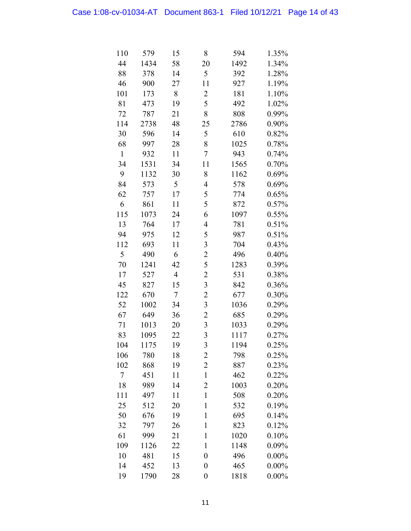| 110          | 579  | 15                       | 8                       | 594  | 1.35%    |
|--------------|------|--------------------------|-------------------------|------|----------|
| 44           | 1434 | 58                       | 20                      | 1492 | 1.34%    |
| 88           | 378  | 14                       | 5                       | 392  | 1.28%    |
| 46           | 900  | 27                       | 11                      | 927  | 1.19%    |
| 101          | 173  | 8                        | $\overline{c}$          | 181  | 1.10%    |
| 81           | 473  | 19                       | 5                       | 492  | 1.02%    |
| 72           | 787  | 21                       | 8                       | 808  | 0.99%    |
| 114          | 2738 | 48                       | 25                      | 2786 | 0.90%    |
| 30           | 596  | 14                       | 5                       | 610  | 0.82%    |
| 68           | 997  | 28                       | 8                       | 1025 | 0.78%    |
| $\mathbf{1}$ | 932  | 11                       | 7                       | 943  | 0.74%    |
| 34           | 1531 | 34                       | 11                      | 1565 | 0.70%    |
| 9            | 1132 | 30                       | 8                       | 1162 | 0.69%    |
| 84           | 573  | 5                        | 4                       | 578  | 0.69%    |
| 62           | 757  | 17                       | 5                       | 774  | 0.65%    |
| 6            | 861  | 11                       | 5                       | 872  | 0.57%    |
| 115          | 1073 | 24                       | 6                       | 1097 | 0.55%    |
| 13           | 764  | 17                       | 4                       | 781  | 0.51%    |
| 94           | 975  | 12                       | 5                       | 987  | 0.51%    |
| 112          | 693  | 11                       | 3                       | 704  | 0.43%    |
| 5            | 490  | 6                        | $\overline{\mathbf{c}}$ | 496  | 0.40%    |
| 70           | 1241 | 42                       | 5                       | 1283 | 0.39%    |
| 17           | 527  | $\overline{\mathcal{A}}$ | $\overline{c}$          | 531  | 0.38%    |
| 45           | 827  | 15                       | 3                       | 842  | 0.36%    |
| 122          | 670  | 7                        | $\overline{c}$          | 677  | 0.30%    |
| 52           | 1002 | 34                       | 3                       | 1036 | 0.29%    |
| 67           | 649  | 36                       | $\overline{c}$          | 685  | 0.29%    |
| 71           | 1013 | 20                       | $\overline{\mathbf{3}}$ | 1033 | 0.29%    |
| 83           | 1095 | 22                       | 3                       | 1117 | 0.27%    |
| 104          | 1175 | 19                       | $\overline{\mathbf{3}}$ | 1194 | 0.25%    |
| 106          | 780  | 18                       | 2                       | 798  | 0.25%    |
| 102          | 868  | 19                       | $\overline{c}$          | 887  | 0.23%    |
| $\tau$       | 451  | 11                       | $\mathbf{1}$            | 462  | 0.22%    |
| 18           | 989  | 14                       | $\overline{c}$          | 1003 | 0.20%    |
| 111          | 497  | 11                       | $\mathbf{1}$            | 508  | 0.20%    |
| 25           | 512  | 20                       | $\mathbf{1}$            | 532  | 0.19%    |
| 50           | 676  | 19                       | $\mathbf{1}$            | 695  | 0.14%    |
| 32           | 797  | 26                       | $\mathbf{1}$            | 823  | 0.12%    |
| 61           | 999  | 21                       | $\mathbf{1}$            | 1020 | 0.10%    |
| 109          | 1126 | 22                       | 1                       | 1148 | 0.09%    |
| 10           | 481  | 15                       | $\overline{0}$          | 496  | $0.00\%$ |
| 14           | 452  | 13                       | 0                       | 465  | $0.00\%$ |
| 19           | 1790 | 28                       | $\boldsymbol{0}$        | 1818 | $0.00\%$ |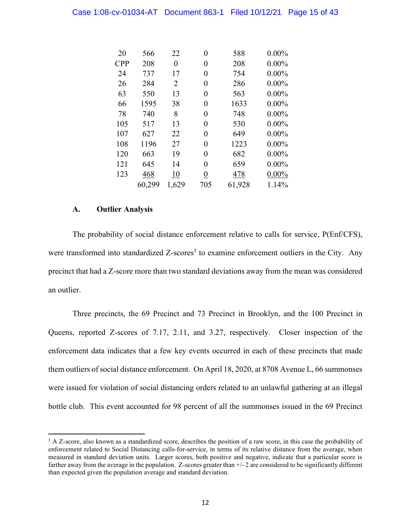| 20         | 566    | 22    | 0                | 588    | $0.00\%$ |
|------------|--------|-------|------------------|--------|----------|
| <b>CPP</b> | 208    | 0     | 0                | 208    | $0.00\%$ |
| 24         | 737    | 17    | 0                | 754    | $0.00\%$ |
| 26         | 284    | 2     | 0                | 286    | $0.00\%$ |
| 63         | 550    | 13    | 0                | 563    | $0.00\%$ |
| 66         | 1595   | 38    | 0                | 1633   | $0.00\%$ |
| 78         | 740    | 8     | 0                | 748    | $0.00\%$ |
| 105        | 517    | 13    | 0                | 530    | $0.00\%$ |
| 107        | 627    | 22    | 0                | 649    | $0.00\%$ |
| 108        | 1196   | 27    | 0                | 1223   | $0.00\%$ |
| 120        | 663    | 19    | 0                | 682    | $0.00\%$ |
| 121        | 645    | 14    | 0                | 659    | $0.00\%$ |
| 123        | 468    | 10    | $\boldsymbol{0}$ | 478    | $0.00\%$ |
|            | 60,299 | 1,629 | 705              | 61,928 | 1.14%    |

#### <span id="page-19-0"></span>**A. Outlier Analysis**

The probability of social distance enforcement relative to calls for service, P(Enf/CFS), were transformed into standardized Z-scores<sup>3</sup> to examine enforcement outliers in the City. Any precinct that had a Z-score more than two standard deviations away from the mean was considered an outlier.

Three precincts, the 69 Precinct and 73 Precinct in Brooklyn, and the 100 Precinct in Queens, reported Z-scores of 7.17, 2.11, and 3.27, respectively. Closer inspection of the enforcement data indicates that a few key events occurred in each of these precincts that made them outliers of social distance enforcement. On April 18, 2020, at 8708 Avenue L, 66 summonses were issued for violation of social distancing orders related to an unlawful gathering at an illegal bottle club. This event accounted for 98 percent of all the summonses issued in the 69 Precinct

<sup>&</sup>lt;sup>3</sup> A Z-score, also known as a standardized score, describes the position of a raw score, in this case the probability of enforcement related to Social Distancing calls-for-service, in terms of its relative distance from the average, when measured in standard deviation units. Larger scores, both positive and negative, indicate that a particular score is farther away from the average in the population. Z-scores greater than +/- 2 are considered to be significantly different than expected given the population average and standard deviation.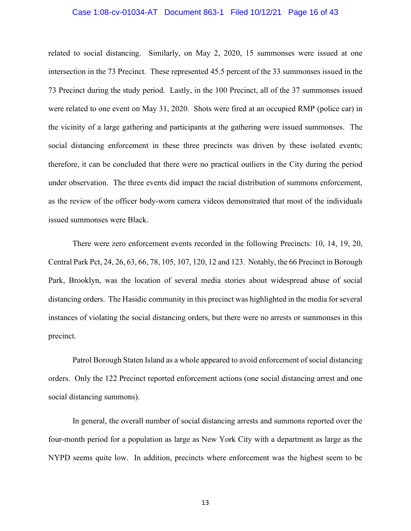#### Case 1:08-cv-01034-AT Document 863-1 Filed 10/12/21 Page 16 of 43

related to social distancing. Similarly, on May 2, 2020, 15 summonses were issued at one intersection in the 73 Precinct. These represented 45.5 percent of the 33 summonses issued in the 73 Precinct during the study period. Lastly, in the 100 Precinct, all of the 37 summonses issued were related to one event on May 31, 2020. Shots were fired at an occupied RMP (police car) in the vicinity of a large gathering and participants at the gathering were issued summonses. The social distancing enforcement in these three precincts was driven by these isolated events; therefore, it can be concluded that there were no practical outliers in the City during the period under observation. The three events did impact the racial distribution of summons enforcement, as the review of the officer body-worn camera videos demonstrated that most of the individuals issued summonses were Black.

There were zero enforcement events recorded in the following Precincts: 10, 14, 19, 20, Central Park Pct, 24, 26, 63, 66, 78, 105, 107, 120, 12 and 123. Notably, the 66 Precinct in Borough Park, Brooklyn, was the location of several media stories about widespread abuse of social distancing orders. The Hasidic community in this precinct was highlighted in the media for several instances of violating the social distancing orders, but there were no arrests or summonses in this precinct.

Patrol Borough Staten Island as a whole appeared to avoid enforcement of social distancing orders. Only the 122 Precinct reported enforcement actions (one social distancing arrest and one social distancing summons).

In general, the overall number of social distancing arrests and summons reported over the four-month period for a population as large as New York City with a department as large as the NYPD seems quite low. In addition, precincts where enforcement was the highest seem to be

13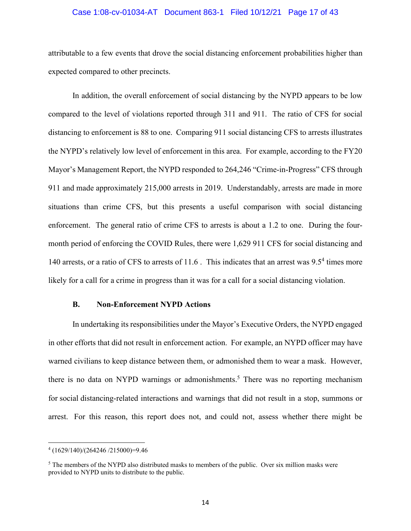#### Case 1:08-cv-01034-AT Document 863-1 Filed 10/12/21 Page 17 of 43

attributable to a few events that drove the social distancing enforcement probabilities higher than expected compared to other precincts.

In addition, the overall enforcement of social distancing by the NYPD appears to be low compared to the level of violations reported through 311 and 911. The ratio of CFS for social distancing to enforcement is 88 to one. Comparing 911 social distancing CFS to arrests illustrates the NYPD's relatively low level of enforcement in this area. For example, according to the FY20 Mayor's Management Report, the NYPD responded to 264,246 "Crime-in-Progress" CFS through 911 and made approximately 215,000 arrests in 2019. Understandably, arrests are made in more situations than crime CFS, but this presents a useful comparison with social distancing enforcement. The general ratio of crime CFS to arrests is about a 1.2 to one. During the fourmonth period of enforcing the COVID Rules, there were 1,629 911 CFS for social distancing and 140 arrests, or a ratio of CFS to arrests of 11.6. This indicates that an arrest was 9.5<sup>4</sup> times more likely for a call for a crime in progress than it was for a call for a social distancing violation.

#### **B. Non-Enforcement NYPD Actions**

<span id="page-21-0"></span>In undertaking its responsibilities under the Mayor's Executive Orders, the NYPD engaged in other efforts that did not result in enforcement action. For example, an NYPD officer may have warned civilians to keep distance between them, or admonished them to wear a mask. However, there is no data on NYPD warnings or admonishments. <sup>5</sup> There was no reporting mechanism for social distancing-related interactions and warnings that did not result in a stop, summons or arrest. For this reason, this report does not, and could not, assess whether there might be

<sup>4</sup> (1629/140)/(264246 /215000)=9.46

<sup>&</sup>lt;sup>5</sup> The members of the NYPD also distributed masks to members of the public. Over six million masks were provided to NYPD units to distribute to the public.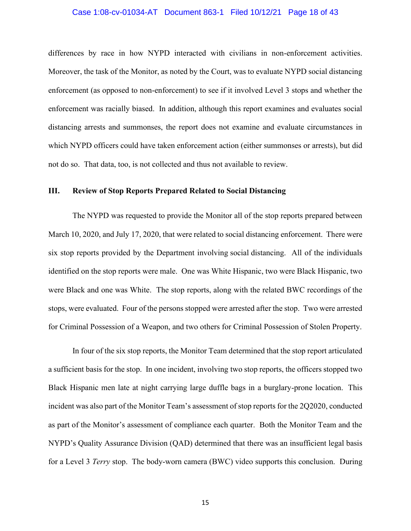#### Case 1:08-cv-01034-AT Document 863-1 Filed 10/12/21 Page 18 of 43

differences by race in how NYPD interacted with civilians in non-enforcement activities. Moreover, the task of the Monitor, as noted by the Court, was to evaluate NYPD social distancing enforcement (as opposed to non-enforcement) to see if it involved Level 3 stops and whether the enforcement was racially biased. In addition, although this report examines and evaluates social distancing arrests and summonses, the report does not examine and evaluate circumstances in which NYPD officers could have taken enforcement action (either summonses or arrests), but did not do so. That data, too, is not collected and thus not available to review.

#### <span id="page-22-0"></span>**III. Review of Stop Reports Prepared Related to Social Distancing**

The NYPD was requested to provide the Monitor all of the stop reports prepared between March 10, 2020, and July 17, 2020, that were related to social distancing enforcement. There were six stop reports provided by the Department involving social distancing. All of the individuals identified on the stop reports were male. One was White Hispanic, two were Black Hispanic, two were Black and one was White. The stop reports, along with the related BWC recordings of the stops, were evaluated. Four of the persons stopped were arrested after the stop. Two were arrested for Criminal Possession of a Weapon, and two others for Criminal Possession of Stolen Property.

In four of the six stop reports, the Monitor Team determined that the stop report articulated a sufficient basis for the stop. In one incident, involving two stop reports, the officers stopped two Black Hispanic men late at night carrying large duffle bags in a burglary-prone location. This incident was also part of the Monitor Team's assessment of stop reports for the 2Q2020, conducted as part of the Monitor's assessment of compliance each quarter. Both the Monitor Team and the NYPD's Quality Assurance Division (QAD) determined that there was an insufficient legal basis for a Level 3 *Terry* stop. The body-worn camera (BWC) video supports this conclusion. During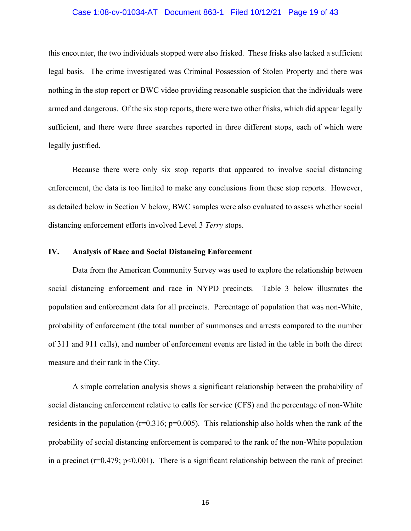#### Case 1:08-cv-01034-AT Document 863-1 Filed 10/12/21 Page 19 of 43

this encounter, the two individuals stopped were also frisked. These frisks also lacked a sufficient legal basis. The crime investigated was Criminal Possession of Stolen Property and there was nothing in the stop report or BWC video providing reasonable suspicion that the individuals were armed and dangerous. Of the six stop reports, there were two other frisks, which did appear legally sufficient, and there were three searches reported in three different stops, each of which were legally justified.

Because there were only six stop reports that appeared to involve social distancing enforcement, the data is too limited to make any conclusions from these stop reports. However, as detailed below in Section V below, BWC samples were also evaluated to assess whether social distancing enforcement efforts involved Level 3 *Terry* stops.

#### <span id="page-23-0"></span>**IV. Analysis of Race and Social Distancing Enforcement**

Data from the American Community Survey was used to explore the relationship between social distancing enforcement and race in NYPD precincts. Table 3 below illustrates the population and enforcement data for all precincts. Percentage of population that was non-White, probability of enforcement (the total number of summonses and arrests compared to the number of 311 and 911 calls), and number of enforcement events are listed in the table in both the direct measure and their rank in the City.

A simple correlation analysis shows a significant relationship between the probability of social distancing enforcement relative to calls for service (CFS) and the percentage of non-White residents in the population ( $r=0.316$ ;  $p=0.005$ ). This relationship also holds when the rank of the probability of social distancing enforcement is compared to the rank of the non-White population in a precinct ( $r=0.479$ ;  $p<0.001$ ). There is a significant relationship between the rank of precinct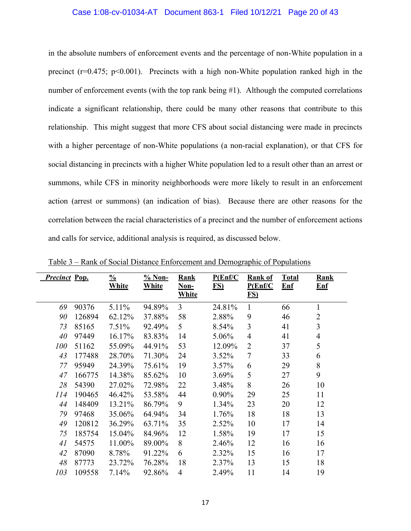in the absolute numbers of enforcement events and the percentage of non-White population in a precinct ( $r=0.475$ ;  $p<0.001$ ). Precincts with a high non-White population ranked high in the number of enforcement events (with the top rank being #1). Although the computed correlations indicate a significant relationship, there could be many other reasons that contribute to this relationship. This might suggest that more CFS about social distancing were made in precincts with a higher percentage of non-White populations (a non-racial explanation), or that CFS for social distancing in precincts with a higher White population led to a result other than an arrest or summons, while CFS in minority neighborhoods were more likely to result in an enforcement action (arrest or summons) (an indication of bias). Because there are other reasons for the correlation between the racial characteristics of a precinct and the number of enforcement actions and calls for service, additional analysis is required, as discussed below.

| <b>Precinct Pop.</b> |        | $\frac{0}{0}$<br>White | $% Non-$<br>White | Rank<br>Non-<br><b>White</b> | P(Enf/C)<br>FS) | <b>Rank of</b><br>P(Enf/C)<br>FS) | <b>Total</b><br>E <sub>nf</sub> | <b>Rank</b><br>$Enf$ |
|----------------------|--------|------------------------|-------------------|------------------------------|-----------------|-----------------------------------|---------------------------------|----------------------|
|                      |        |                        |                   |                              |                 |                                   |                                 |                      |
| 69                   | 90376  | 5.11%                  | 94.89%            | 3                            | 24.81%          | 1                                 | 66                              | 1                    |
| 90                   | 126894 | 62.12%                 | 37.88%            | 58                           | 2.88%           | 9                                 | 46                              | $\overline{2}$       |
| 73                   | 85165  | 7.51%                  | 92.49%            | 5                            | 8.54%           | 3                                 | 41                              | 3                    |
| 40                   | 97449  | 16.17%                 | 83.83%            | 14                           | 5.06%           | $\overline{4}$                    | 41                              | 4                    |
| <i>100</i>           | 51162  | 55.09%                 | 44.91%            | 53                           | 12.09%          | $\overline{2}$                    | 37                              | 5                    |
| 43                   | 177488 | 28.70%                 | 71.30%            | 24                           | 3.52%           | $\overline{7}$                    | 33                              | 6                    |
| 77                   | 95949  | 24.39%                 | 75.61%            | 19                           | $3.57\%$        | 6                                 | 29                              | 8                    |
| 47                   | 166775 | 14.38%                 | 85.62%            | 10                           | 3.69%           | 5                                 | 27                              | 9                    |
| 28                   | 54390  | 27.02%                 | 72.98%            | 22                           | 3.48%           | 8                                 | 26                              | 10                   |
| 114                  | 190465 | 46.42%                 | 53.58%            | 44                           | $0.90\%$        | 29                                | 25                              | 11                   |
| 44                   | 148409 | 13.21%                 | 86.79%            | 9                            | 1.34%           | 23                                | 20                              | 12                   |
| 79                   | 97468  | 35.06%                 | 64.94%            | 34                           | 1.76%           | 18                                | 18                              | 13                   |
| 49                   | 120812 | 36.29%                 | 63.71%            | 35                           | 2.52%           | 10                                | 17                              | 14                   |
| 75                   | 185754 | 15.04%                 | 84.96%            | 12                           | 1.58%           | 19                                | 17                              | 15                   |
| 41                   | 54575  | 11.00%                 | 89.00%            | 8                            | 2.46%           | 12                                | 16                              | 16                   |
| 42                   | 87090  | 8.78%                  | 91.22%            | 6                            | 2.32%           | 15                                | 16                              | 17                   |
| 48                   | 87773  | 23.72%                 | 76.28%            | 18                           | 2.37%           | 13                                | 15                              | 18                   |
| 103                  | 109558 | 7.14%                  | 92.86%            | $\overline{4}$               | 2.49%           | 11                                | 14                              | 19                   |

Table 3 – Rank of Social Distance Enforcement and Demographic of Populations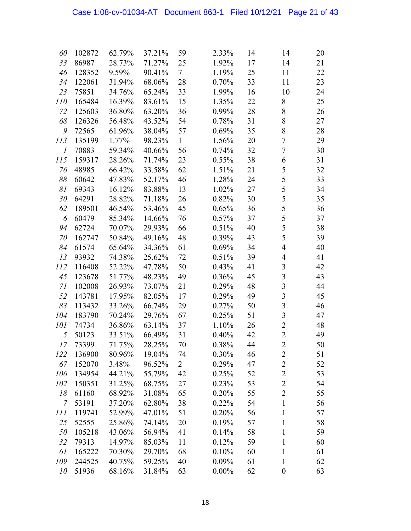| 60         | 102872 | 62.79% | 37.21% | 59             | 2.33%    | 14 | 14                      | 20 |
|------------|--------|--------|--------|----------------|----------|----|-------------------------|----|
| 33         | 86987  | 28.73% | 71.27% | 25             | 1.92%    | 17 | 14                      | 21 |
| 46         | 128352 | 9.59%  | 90.41% | 7              | 1.19%    | 25 | 11                      | 22 |
| 34         | 122061 | 31.94% | 68.06% | 28             | 0.70%    | 33 | 11                      | 23 |
| 23         | 75851  | 34.76% | 65.24% | 33             | 1.99%    | 16 | 10                      | 24 |
| <i>110</i> | 165484 | 16.39% | 83.61% | 15             | 1.35%    | 22 | 8                       | 25 |
| 72         | 125603 | 36.80% | 63.20% | 36             | 0.99%    | 28 | 8                       | 26 |
| 68         | 126326 | 56.48% | 43.52% | 54             | 0.78%    | 31 | 8                       | 27 |
| 9          | 72565  | 61.96% | 38.04% | 57             | 0.69%    | 35 | 8                       | 28 |
| 113        | 135199 | 1.77%  | 98.23% | $\mathbf{1}$   | 1.56%    | 20 | $\tau$                  | 29 |
| 1          | 70883  | 59.34% | 40.66% | 56             | 0.74%    | 32 | $\tau$                  | 30 |
| <i>115</i> | 159317 | 28.26% | 71.74% | 23             | 0.55%    | 38 | 6                       | 31 |
| 76         | 48985  | 66.42% | 33.58% | 62             | 1.51%    | 21 | 5                       | 32 |
| 88         | 60642  | 47.83% | 52.17% | 46             | 1.28%    | 24 | 5                       | 33 |
| 81         | 69343  | 16.12% | 83.88% | 13             | 1.02%    | 27 | 5                       | 34 |
| 30         | 64291  | 28.82% | 71.18% | 26             | 0.82%    | 30 | 5                       | 35 |
| 62         | 189501 | 46.54% | 53.46% | 45             | 0.65%    | 36 | 5                       | 36 |
| 6          | 60479  | 85.34% | 14.66% | 76             | 0.57%    | 37 | 5                       | 37 |
| 94         | 62724  | 70.07% | 29.93% | 66             | 0.51%    | 40 | 5                       | 38 |
| 70         | 162747 | 50.84% | 49.16% | 48             | 0.39%    | 43 | 5                       | 39 |
| 84         | 61574  | 65.64% | 34.36% | 61             | 0.69%    | 34 | $\overline{\mathbf{4}}$ | 40 |
| 13         | 93932  | 74.38% | 25.62% | 72             | 0.51%    | 39 | $\overline{\mathbf{4}}$ | 41 |
| 112        | 116408 | 52.22% | 47.78% | 50             | 0.43%    | 41 | 3                       | 42 |
| 45         | 123678 | 51.77% | 48.23% | 49             | 0.36%    | 45 | 3                       | 43 |
| 71         | 102008 | 26.93% | 73.07% | 21             | 0.29%    | 48 | 3                       | 44 |
| 52         | 143781 | 17.95% | 82.05% | 17             | 0.29%    | 49 | $\overline{\mathbf{3}}$ | 45 |
| 83         | 113432 | 33.26% | 66.74% | 29             | 0.27%    | 50 | $\overline{3}$          | 46 |
| 104        | 183790 | 70.24% | 29.76% | 67             | 0.25%    | 51 | $\overline{3}$          | 47 |
| 101        | 74734  | 36.86% | 63.14% | 37             | 1.10%    | 26 | $\overline{2}$          | 48 |
| 5          | 50123  | 33.51% | 66.49% | 31             | 0.40%    | 42 | $\overline{2}$          | 49 |
| 17         | 73399  | 71.75% | 28.25% | 70             | 0.38%    | 44 | $\overline{2}$          | 50 |
| 122        | 136900 | 80.96% | 19.04% | 74             | 0.30%    | 46 | $\overline{2}$          | 51 |
| 67         | 152070 | 3.48%  | 96.52% | $\overline{2}$ | 0.29%    | 47 | $\overline{2}$          | 52 |
| 106        | 134954 | 44.21% | 55.79% | 42             | 0.25%    | 52 | $\overline{2}$          | 53 |
| 102        | 150351 | 31.25% | 68.75% | 27             | 0.23%    | 53 | $\overline{2}$          | 54 |
| 18         | 61160  | 68.92% | 31.08% | 65             | 0.20%    | 55 | $\overline{2}$          | 55 |
| 7          | 53191  | 37.20% | 62.80% | 38             | 0.22%    | 54 | $\mathbf{1}$            | 56 |
| 111        | 119741 | 52.99% | 47.01% | 51             | 0.20%    | 56 | $\mathbf{1}$            | 57 |
| 25         | 52555  | 25.86% | 74.14% | 20             | 0.19%    | 57 | $\mathbf{1}$            | 58 |
| 50         | 105218 | 43.06% | 56.94% | 41             | 0.14%    | 58 | $\mathbf{1}$            | 59 |
| 32         | 79313  | 14.97% | 85.03% | 11             | 0.12%    | 59 | $\mathbf{1}$            | 60 |
| 61         | 165222 | 70.30% | 29.70% | 68             | 0.10%    | 60 | $\mathbf{1}$            | 61 |
| 109        | 244525 | 40.75% | 59.25% | 40             | $0.09\%$ | 61 | $\mathbf{1}$            | 62 |
| 10         | 51936  | 68.16% | 31.84% | 63             | $0.00\%$ | 62 | $\boldsymbol{0}$        | 63 |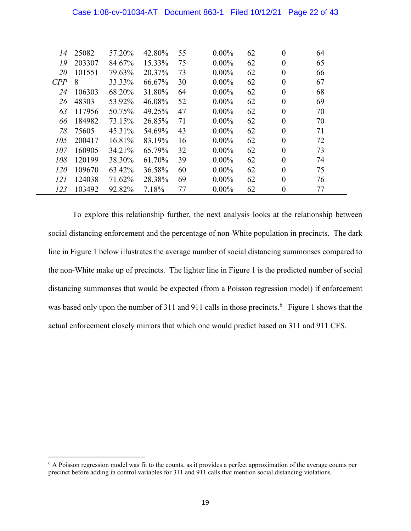| Case 1:08-cv-01034-AT  Document 863-1  Filed 10/12/21  Page 22 of 43 |  |  |
|----------------------------------------------------------------------|--|--|
|                                                                      |  |  |

| 14         | 25082  | 57.20% | 42.80% | 55 | $0.00\%$ | 62 | $\overline{0}$   | 64 |  |
|------------|--------|--------|--------|----|----------|----|------------------|----|--|
| 19         | 203307 | 84.67% | 15.33% | 75 | $0.00\%$ | 62 | $\boldsymbol{0}$ | 65 |  |
| 20         | 101551 | 79.63% | 20.37% | 73 | $0.00\%$ | 62 | $\boldsymbol{0}$ | 66 |  |
| CPP        | 8      | 33.33% | 66.67% | 30 | $0.00\%$ | 62 | $\boldsymbol{0}$ | 67 |  |
| 24         | 106303 | 68.20% | 31.80% | 64 | $0.00\%$ | 62 | $\theta$         | 68 |  |
| 26         | 48303  | 53.92% | 46.08% | 52 | $0.00\%$ | 62 | $\boldsymbol{0}$ | 69 |  |
| 63         | 117956 | 50.75% | 49.25% | 47 | $0.00\%$ | 62 | $\theta$         | 70 |  |
| 66         | 184982 | 73.15% | 26.85% | 71 | $0.00\%$ | 62 | $\theta$         | 70 |  |
| 78         | 75605  | 45.31% | 54.69% | 43 | $0.00\%$ | 62 | $\theta$         | 71 |  |
| 105        | 200417 | 16.81% | 83.19% | 16 | $0.00\%$ | 62 | $\theta$         | 72 |  |
| 107        | 160905 | 34.21% | 65.79% | 32 | $0.00\%$ | 62 | $\theta$         | 73 |  |
| 108        | 120199 | 38.30% | 61.70% | 39 | $0.00\%$ | 62 | $\theta$         | 74 |  |
| <i>120</i> | 109670 | 63.42% | 36.58% | 60 | $0.00\%$ | 62 | $\theta$         | 75 |  |
| 121        | 124038 | 71.62% | 28.38% | 69 | $0.00\%$ | 62 | $\theta$         | 76 |  |
| 123        | 103492 | 92.82% | 7.18%  | 77 | $0.00\%$ | 62 | $\boldsymbol{0}$ | 77 |  |

To explore this relationship further, the next analysis looks at the relationship between social distancing enforcement and the percentage of non-White population in precincts. The dark line in Figure 1 below illustrates the average number of social distancing summonses compared to the non-White make up of precincts. The lighter line in Figure 1 is the predicted number of social distancing summonses that would be expected (from a Poisson regression model) if enforcement was based only upon the number of 311 and 911 calls in those precincts.<sup>6</sup> Figure 1 shows that the actual enforcement closely mirrors that which one would predict based on 311 and 911 CFS.

<sup>&</sup>lt;sup>6</sup> A Poisson regression model was fit to the counts, as it provides a perfect approximation of the average counts per precinct before adding in control variables for 311 and 911 calls that mention social distancing violations.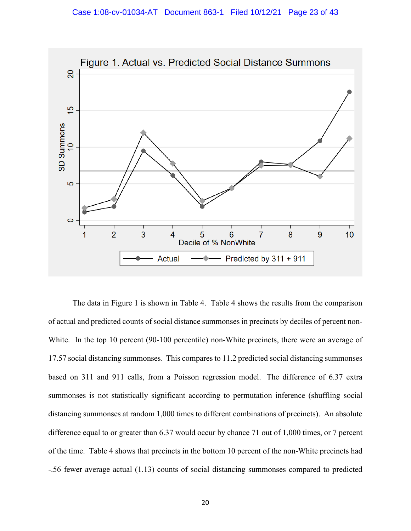

The data in Figure 1 is shown in Table 4. Table 4 shows the results from the comparison of actual and predicted counts of social distance summonses in precincts by deciles of percent non-White. In the top 10 percent (90-100 percentile) non-White precincts, there were an average of 17.57 social distancing summonses. This compares to 11.2 predicted social distancing summonses based on 311 and 911 calls, from a Poisson regression model. The difference of 6.37 extra summonses is not statistically significant according to permutation inference (shuffling social distancing summonses at random 1,000 times to different combinations of precincts). An absolute difference equal to or greater than 6.37 would occur by chance 71 out of 1,000 times, or 7 percent of the time. Table 4 shows that precincts in the bottom 10 percent of the non-White precincts had -.56 fewer average actual (1.13) counts of social distancing summonses compared to predicted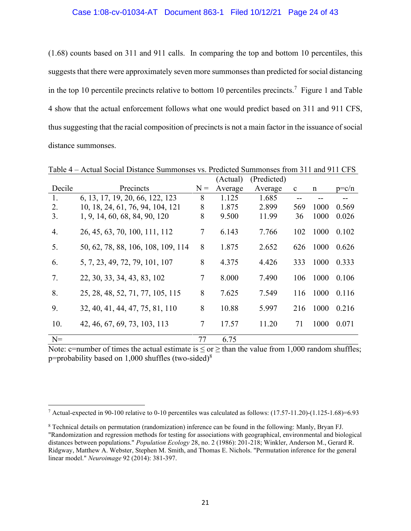(1.68) counts based on 311 and 911 calls. In comparing the top and bottom 10 percentiles, this suggests that there were approximately seven more summonses than predicted for social distancing in the top 10 percentile precincts relative to bottom 10 percentiles precincts.<sup>7</sup> Figure 1 and Table 4 show that the actual enforcement follows what one would predict based on 311 and 911 CFS, thus suggesting that the racial composition of precincts is not a main factor in the issuance of social distance summonses.

|        |                                    |        | (Actual) | (Predicted) |              |             |         |
|--------|------------------------------------|--------|----------|-------------|--------------|-------------|---------|
| Decile | Precincts                          | $N =$  | Average  | Average     | $\mathbf{c}$ | $\mathbf n$ | $p=c/n$ |
| 1.     | 6, 13, 17, 19, 20, 66, 122, 123    | 8      | 1.125    | 1.685       |              |             |         |
| 2.     | 10, 18, 24, 61, 76, 94, 104, 121   | 8      | 1.875    | 2.899       | 569          | 1000        | 0.569   |
| 3.     | 1, 9, 14, 60, 68, 84, 90, 120      | 8      | 9.500    | 11.99       | 36           | 1000        | 0.026   |
| 4.     | 26, 45, 63, 70, 100, 111, 112      | 7      | 6.143    | 7.766       | 102          | 1000        | 0.102   |
| 5.     | 50, 62, 78, 88, 106, 108, 109, 114 | 8      | 1.875    | 2.652       | 626          | 1000        | 0.626   |
| 6.     | 5, 7, 23, 49, 72, 79, 101, 107     | 8      | 4.375    | 4.426       | 333          | 1000        | 0.333   |
| 7.     | 22, 30, 33, 34, 43, 83, 102        | $\tau$ | 8.000    | 7.490       | 106          | 1000        | 0.106   |
| 8.     | 25, 28, 48, 52, 71, 77, 105, 115   | 8      | 7.625    | 7.549       | 116          | 1000        | 0.116   |
| 9.     | 32, 40, 41, 44, 47, 75, 81, 110    | 8      | 10.88    | 5.997       | 216          | 1000        | 0.216   |
| 10.    | 42, 46, 67, 69, 73, 103, 113       | 7      | 17.57    | 11.20       | 71           | 1000        | 0.071   |
| $N =$  |                                    | 77     | 6.75     |             |              |             |         |

Table 4 – Actual Social Distance Summonses vs. Predicted Summonses from 311 and 911 CFS  $\frac{1}{(A \text{ et } \text{rel})}$  (December 1)

Note: c=number of times the actual estimate is  $\leq$  or  $\geq$  than the value from 1,000 random shuffles; p=probability based on  $1,000$  shuffles (two-sided)<sup>8</sup>

 $^7$  Actual-expected in 90-100 relative to 0-10 percentiles was calculated as follows: (17.57-11.20)-(1.125-1.68)=6.93

<sup>8</sup> Technical details on permutation (randomization) inference can be found in the following: Manly, Bryan FJ. "Randomization and regression methods for testing for associations with geographical, environmental and biological distances between populations." *Population Ecology* 28, no. 2 (1986): 201-218; Winkler, Anderson M., Gerard R. Ridgway, Matthew A. Webster, Stephen M. Smith, and Thomas E. Nichols. "Permutation inference for the general linear model." *Neuroimage* 92 (2014): 381-397.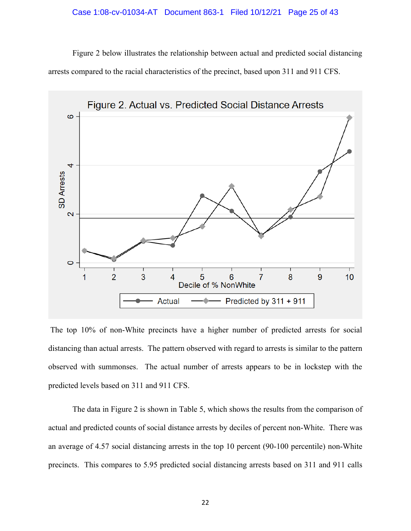Figure 2 below illustrates the relationship between actual and predicted social distancing arrests compared to the racial characteristics of the precinct, based upon 311 and 911 CFS.



The top 10% of non-White precincts have a higher number of predicted arrests for social distancing than actual arrests. The pattern observed with regard to arrests is similar to the pattern observed with summonses. The actual number of arrests appears to be in lockstep with the predicted levels based on 311 and 911 CFS.

The data in Figure 2 is shown in Table 5, which shows the results from the comparison of actual and predicted counts of social distance arrests by deciles of percent non-White. There was an average of 4.57 social distancing arrests in the top 10 percent (90-100 percentile) non-White precincts. This compares to 5.95 predicted social distancing arrests based on 311 and 911 calls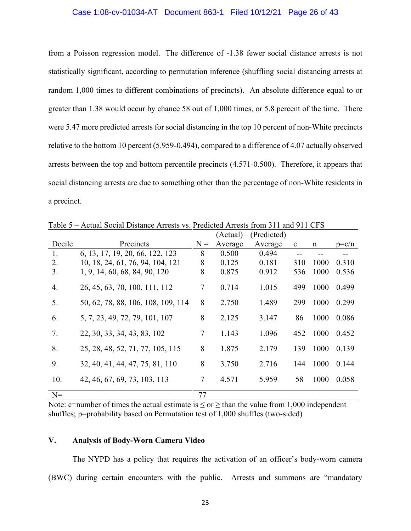#### Case 1:08-cv-01034-AT Document 863-1 Filed 10/12/21 Page 26 of 43

from a Poisson regression model. The difference of -1.38 fewer social distance arrests is not statistically significant, according to permutation inference (shuffling social distancing arrests at random 1,000 times to different combinations of precincts). An absolute difference equal to or greater than 1.38 would occur by chance 58 out of 1,000 times, or 5.8 percent of the time. There were 5.47 more predicted arrests for social distancing in the top 10 percent of non-White precincts relative to the bottom 10 percent (5.959-0.494), compared to a difference of 4.07 actually observed arrests between the top and bottom percentile precincts (4.571-0.500). Therefore, it appears that social distancing arrests are due to something other than the percentage of non-White residents in a precinct.

|        |                                    |        | (Actual) | (Predicted) |              |             |           |
|--------|------------------------------------|--------|----------|-------------|--------------|-------------|-----------|
| Decile | Precincts                          | $N =$  | Average  | Average     | $\mathbf{c}$ | $\mathbf n$ | $p = c/n$ |
| 1.     | 6, 13, 17, 19, 20, 66, 122, 123    | 8      | 0.500    | 0.494       |              |             |           |
| 2.     | 10, 18, 24, 61, 76, 94, 104, 121   | 8      | 0.125    | 0.181       | 310          | 1000        | 0.310     |
| 3.     | 1, 9, 14, 60, 68, 84, 90, 120      | 8      | 0.875    | 0.912       | 536          | 1000        | 0.536     |
| 4.     | 26, 45, 63, 70, 100, 111, 112      | $\tau$ | 0.714    | 1.015       | 499          | 1000        | 0.499     |
| 5.     | 50, 62, 78, 88, 106, 108, 109, 114 | 8      | 2.750    | 1.489       | 299          | 1000        | 0.299     |
| 6.     | 5, 7, 23, 49, 72, 79, 101, 107     | 8      | 2.125    | 3.147       | 86           | 1000        | 0.086     |
| 7.     | 22, 30, 33, 34, 43, 83, 102        | 7      | 1.143    | 1.096       | 452          | 1000        | 0.452     |
| 8.     | 25, 28, 48, 52, 71, 77, 105, 115   | 8      | 1.875    | 2.179       | 139          | 1000        | 0.139     |
| 9.     | 32, 40, 41, 44, 47, 75, 81, 110    | 8      | 3.750    | 2.716       | 144          | 1000        | 0.144     |
| 10.    | 42, 46, 67, 69, 73, 103, 113       | $\tau$ | 4.571    | 5.959       | 58           | 1000        | 0.058     |
| $N=$   |                                    | 77     |          |             |              |             |           |

Table 5 – Actual Social Distance Arrests vs. Predicted Arrests from 311 and 911 CFS

Note: c=number of times the actual estimate is  $\leq$  or  $\geq$  than the value from 1,000 independent shuffles; p=probability based on Permutation test of 1,000 shuffles (two-sided)

#### <span id="page-30-0"></span>**V. Analysis of Body-Worn Camera Video**

The NYPD has a policy that requires the activation of an officer's body-worn camera (BWC) during certain encounters with the public. Arrests and summons are "mandatory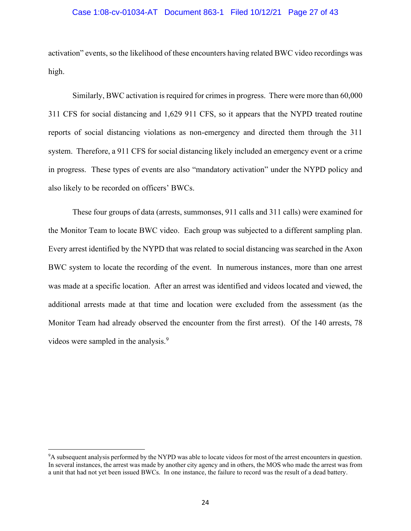#### Case 1:08-cv-01034-AT Document 863-1 Filed 10/12/21 Page 27 of 43

activation" events, so the likelihood of these encounters having related BWC video recordings was high.

Similarly, BWC activation is required for crimes in progress. There were more than 60,000 311 CFS for social distancing and 1,629 911 CFS, so it appears that the NYPD treated routine reports of social distancing violations as non-emergency and directed them through the 311 system. Therefore, a 911 CFS for social distancing likely included an emergency event or a crime in progress. These types of events are also "mandatory activation" under the NYPD policy and also likely to be recorded on officers' BWCs.

These four groups of data (arrests, summonses, 911 calls and 311 calls) were examined for the Monitor Team to locate BWC video. Each group was subjected to a different sampling plan. Every arrest identified by the NYPD that was related to social distancing was searched in the Axon BWC system to locate the recording of the event. In numerous instances, more than one arrest was made at a specific location. After an arrest was identified and videos located and viewed, the additional arrests made at that time and location were excluded from the assessment (as the Monitor Team had already observed the encounter from the first arrest). Of the 140 arrests, 78 videos were sampled in the analysis.<sup>9</sup>

<sup>&</sup>lt;sup>9</sup>A subsequent analysis performed by the NYPD was able to locate videos for most of the arrest encounters in question. In several instances, the arrest was made by another city agency and in others, the MOS who made the arrest was from a unit that had not yet been issued BWCs. In one instance, the failure to record was the result of a dead battery.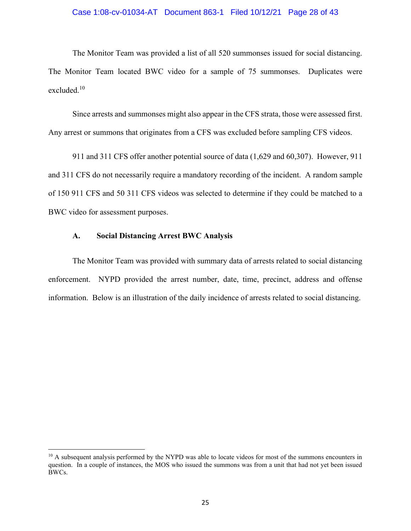#### Case 1:08-cv-01034-AT Document 863-1 Filed 10/12/21 Page 28 of 43

The Monitor Team was provided a list of all 520 summonses issued for social distancing. The Monitor Team located BWC video for a sample of 75 summonses. Duplicates were excluded. 10

Since arrests and summonses might also appear in the CFS strata, those were assessed first. Any arrest or summons that originates from a CFS was excluded before sampling CFS videos.

911 and 311 CFS offer another potential source of data (1,629 and 60,307). However, 911 and 311 CFS do not necessarily require a mandatory recording of the incident. A random sample of 150 911 CFS and 50 311 CFS videos was selected to determine if they could be matched to a BWC video for assessment purposes.

#### <span id="page-32-0"></span>**A. Social Distancing Arrest BWC Analysis**

The Monitor Team was provided with summary data of arrests related to social distancing enforcement. NYPD provided the arrest number, date, time, precinct, address and offense information. Below is an illustration of the daily incidence of arrests related to social distancing.

<sup>&</sup>lt;sup>10</sup> A subsequent analysis performed by the NYPD was able to locate videos for most of the summons encounters in question. In a couple of instances, the MOS who issued the summons was from a unit that had not yet been issued BWCs.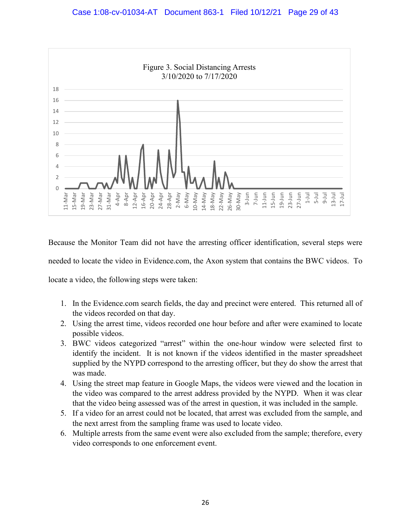

Because the Monitor Team did not have the arresting officer identification, several steps were needed to locate the video in Evidence.com, the Axon system that contains the BWC videos. To locate a video, the following steps were taken:

- 1. In the Evidence.com search fields, the day and precinct were entered. This returned all of the videos recorded on that day.
- 2. Using the arrest time, videos recorded one hour before and after were examined to locate possible videos.
- 3. BWC videos categorized "arrest" within the one-hour window were selected first to identify the incident. It is not known if the videos identified in the master spreadsheet supplied by the NYPD correspond to the arresting officer, but they do show the arrest that was made.
- 4. Using the street map feature in Google Maps, the videos were viewed and the location in the video was compared to the arrest address provided by the NYPD. When it was clear that the video being assessed was of the arrest in question, it was included in the sample.
- 5. If a video for an arrest could not be located, that arrest was excluded from the sample, and the next arrest from the sampling frame was used to locate video.
- 6. Multiple arrests from the same event were also excluded from the sample; therefore, every video corresponds to one enforcement event.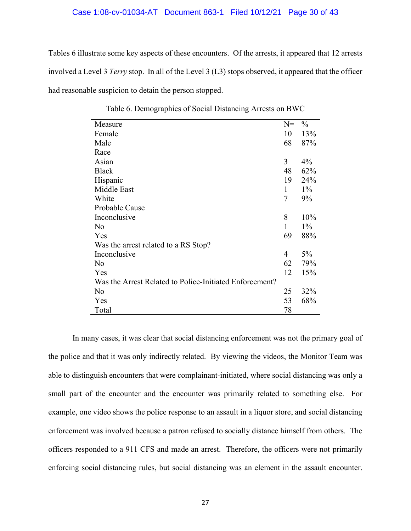#### Case 1:08-cv-01034-AT Document 863-1 Filed 10/12/21 Page 30 of 43

Tables 6 illustrate some key aspects of these encounters. Of the arrests, it appeared that 12 arrests involved a Level 3 *Terry* stop. In all of the Level 3 (L3) stops observed, it appeared that the officer had reasonable suspicion to detain the person stopped.

| Measure                                                 | $N =$ | $\frac{0}{0}$ |
|---------------------------------------------------------|-------|---------------|
| Female                                                  | 10    | 13%           |
| Male                                                    | 68    | 87%           |
| Race                                                    |       |               |
| Asian                                                   | 3     | $4\%$         |
| <b>Black</b>                                            | 48    | 62%           |
| Hispanic                                                | 19    | 24%           |
| Middle East                                             | 1     | $1\%$         |
| White                                                   | 7     | 9%            |
| Probable Cause                                          |       |               |
| Inconclusive                                            | 8     | 10%           |
| No                                                      | 1     | $1\%$         |
| Yes                                                     | 69    | 88%           |
| Was the arrest related to a RS Stop?                    |       |               |
| Inconclusive                                            | 4     | $5\%$         |
| No                                                      | 62    | 79%           |
| Yes                                                     | 12    | 15%           |
| Was the Arrest Related to Police-Initiated Enforcement? |       |               |
| No                                                      | 25    | 32%           |
| Yes                                                     | 53    | 68%           |
| Total                                                   | 78    |               |

Table 6. Demographics of Social Distancing Arrests on BWC

In many cases, it was clear that social distancing enforcement was not the primary goal of the police and that it was only indirectly related. By viewing the videos, the Monitor Team was able to distinguish encounters that were complainant-initiated, where social distancing was only a small part of the encounter and the encounter was primarily related to something else. For example, one video shows the police response to an assault in a liquor store, and social distancing enforcement was involved because a patron refused to socially distance himself from others. The officers responded to a 911 CFS and made an arrest. Therefore, the officers were not primarily enforcing social distancing rules, but social distancing was an element in the assault encounter.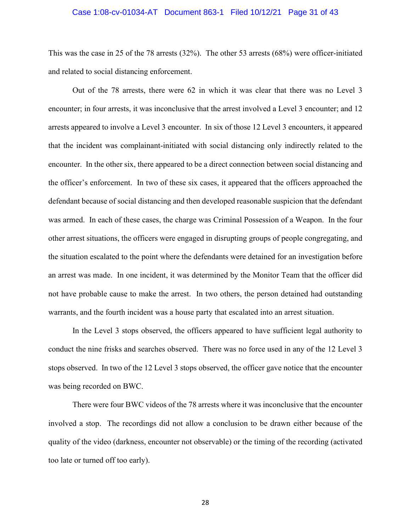#### Case 1:08-cv-01034-AT Document 863-1 Filed 10/12/21 Page 31 of 43

This was the case in 25 of the 78 arrests (32%). The other 53 arrests (68%) were officer-initiated and related to social distancing enforcement.

Out of the 78 arrests, there were 62 in which it was clear that there was no Level 3 encounter; in four arrests, it was inconclusive that the arrest involved a Level 3 encounter; and 12 arrests appeared to involve a Level 3 encounter. In six of those 12 Level 3 encounters, it appeared that the incident was complainant-initiated with social distancing only indirectly related to the encounter. In the other six, there appeared to be a direct connection between social distancing and the officer's enforcement. In two of these six cases, it appeared that the officers approached the defendant because of social distancing and then developed reasonable suspicion that the defendant was armed. In each of these cases, the charge was Criminal Possession of a Weapon. In the four other arrest situations, the officers were engaged in disrupting groups of people congregating, and the situation escalated to the point where the defendants were detained for an investigation before an arrest was made. In one incident, it was determined by the Monitor Team that the officer did not have probable cause to make the arrest. In two others, the person detained had outstanding warrants, and the fourth incident was a house party that escalated into an arrest situation.

In the Level 3 stops observed, the officers appeared to have sufficient legal authority to conduct the nine frisks and searches observed. There was no force used in any of the 12 Level 3 stops observed. In two of the 12 Level 3 stops observed, the officer gave notice that the encounter was being recorded on BWC.

There were four BWC videos of the 78 arrests where it was inconclusive that the encounter involved a stop. The recordings did not allow a conclusion to be drawn either because of the quality of the video (darkness, encounter not observable) or the timing of the recording (activated too late or turned off too early).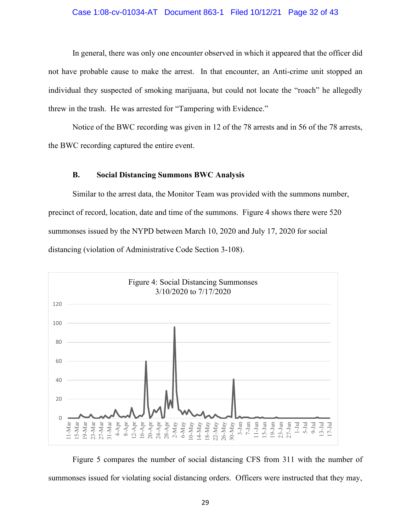#### Case 1:08-cv-01034-AT Document 863-1 Filed 10/12/21 Page 32 of 43

In general, there was only one encounter observed in which it appeared that the officer did not have probable cause to make the arrest. In that encounter, an Anti-crime unit stopped an individual they suspected of smoking marijuana, but could not locate the "roach" he allegedly threw in the trash. He was arrested for "Tampering with Evidence."

Notice of the BWC recording was given in 12 of the 78 arrests and in 56 of the 78 arrests, the BWC recording captured the entire event.

#### **B. Social Distancing Summons BWC Analysis**

<span id="page-36-0"></span>Similar to the arrest data, the Monitor Team was provided with the summons number, precinct of record, location, date and time of the summons. Figure 4 shows there were 520 summonses issued by the NYPD between March 10, 2020 and July 17, 2020 for social distancing (violation of Administrative Code Section 3-108).



Figure 5 compares the number of social distancing CFS from 311 with the number of summonses issued for violating social distancing orders. Officers were instructed that they may,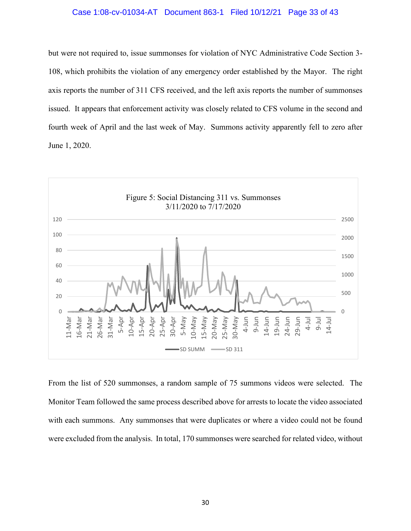#### Case 1:08-cv-01034-AT Document 863-1 Filed 10/12/21 Page 33 of 43

but were not required to, issue summonses for violation of NYC Administrative Code Section 3- 108, which prohibits the violation of any emergency order established by the Mayor. The right axis reports the number of 311 CFS received, and the left axis reports the number of summonses issued. It appears that enforcement activity was closely related to CFS volume in the second and fourth week of April and the last week of May. Summons activity apparently fell to zero after June 1, 2020.



From the list of 520 summonses, a random sample of 75 summons videos were selected. The Monitor Team followed the same process described above for arrests to locate the video associated with each summons. Any summonses that were duplicates or where a video could not be found were excluded from the analysis. In total, 170 summonses were searched for related video, without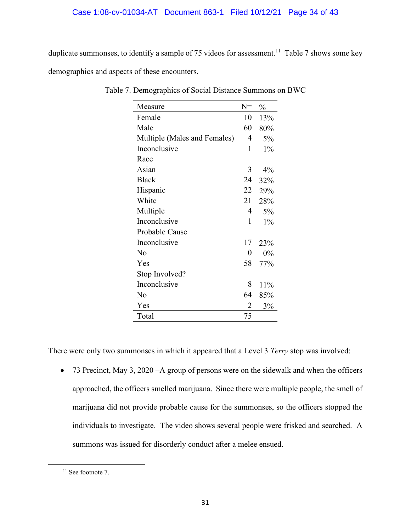### Case 1:08-cv-01034-AT Document 863-1 Filed 10/12/21 Page 34 of 43

duplicate summonses, to identify a sample of 75 videos for assessment.<sup>11</sup> Table 7 shows some key demographics and aspects of these encounters.

| Female<br>10<br>13%<br>Male<br>60<br>80%<br>Multiple (Males and Females)<br>4<br>5%<br>Inconclusive<br>1<br>$1\%$<br>Race<br>Asian<br>3<br>$4\%$<br><b>Black</b><br>24<br>32%<br>22<br>Hispanic<br>29%<br>White<br>21<br>28%<br>Multiple<br>4<br>5%<br>Inconclusive<br>1<br>$1\%$<br>Probable Cause<br>Inconclusive<br>17<br>23%<br>No<br>0<br>$0\%$<br>Yes<br>58<br>77%<br>Stop Involved?<br>Inconclusive<br>8<br>11%<br>No<br>64<br>85% | Measure | $N =$ | $\frac{0}{0}$ |
|-------------------------------------------------------------------------------------------------------------------------------------------------------------------------------------------------------------------------------------------------------------------------------------------------------------------------------------------------------------------------------------------------------------------------------------------|---------|-------|---------------|
|                                                                                                                                                                                                                                                                                                                                                                                                                                           |         |       |               |
|                                                                                                                                                                                                                                                                                                                                                                                                                                           |         |       |               |
|                                                                                                                                                                                                                                                                                                                                                                                                                                           |         |       |               |
|                                                                                                                                                                                                                                                                                                                                                                                                                                           |         |       |               |
|                                                                                                                                                                                                                                                                                                                                                                                                                                           |         |       |               |
|                                                                                                                                                                                                                                                                                                                                                                                                                                           |         |       |               |
|                                                                                                                                                                                                                                                                                                                                                                                                                                           |         |       |               |
|                                                                                                                                                                                                                                                                                                                                                                                                                                           |         |       |               |
|                                                                                                                                                                                                                                                                                                                                                                                                                                           |         |       |               |
|                                                                                                                                                                                                                                                                                                                                                                                                                                           |         |       |               |
|                                                                                                                                                                                                                                                                                                                                                                                                                                           |         |       |               |
|                                                                                                                                                                                                                                                                                                                                                                                                                                           |         |       |               |
|                                                                                                                                                                                                                                                                                                                                                                                                                                           |         |       |               |
|                                                                                                                                                                                                                                                                                                                                                                                                                                           |         |       |               |
|                                                                                                                                                                                                                                                                                                                                                                                                                                           |         |       |               |
|                                                                                                                                                                                                                                                                                                                                                                                                                                           |         |       |               |
|                                                                                                                                                                                                                                                                                                                                                                                                                                           |         |       |               |
|                                                                                                                                                                                                                                                                                                                                                                                                                                           |         |       |               |
|                                                                                                                                                                                                                                                                                                                                                                                                                                           | Yes     | 2     | 3%            |
| Total<br>75                                                                                                                                                                                                                                                                                                                                                                                                                               |         |       |               |

Table 7. Demographics of Social Distance Summons on BWC

There were only two summonses in which it appeared that a Level 3 *Terry* stop was involved:

• 73 Precinct, May 3, 2020 – A group of persons were on the sidewalk and when the officers approached, the officers smelled marijuana. Since there were multiple people, the smell of marijuana did not provide probable cause for the summonses, so the officers stopped the individuals to investigate. The video shows several people were frisked and searched. A summons was issued for disorderly conduct after a melee ensued.

<sup>&</sup>lt;sup>11</sup> See footnote 7.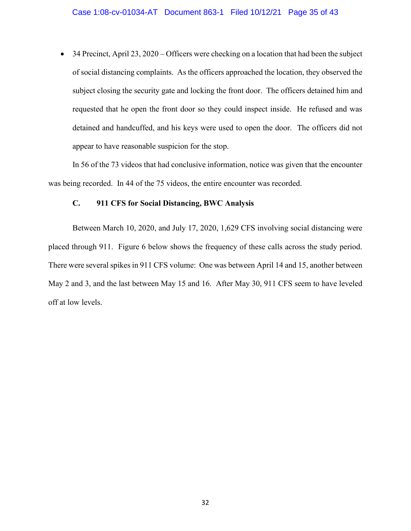• 34 Precinct, April 23, 2020 – Officers were checking on a location that had been the subject of social distancing complaints. As the officers approached the location, they observed the subject closing the security gate and locking the front door. The officers detained him and requested that he open the front door so they could inspect inside. He refused and was detained and handcuffed, and his keys were used to open the door. The officers did not appear to have reasonable suspicion for the stop.

In 56 of the 73 videos that had conclusive information, notice was given that the encounter was being recorded. In 44 of the 75 videos, the entire encounter was recorded.

#### <span id="page-39-0"></span>**C. 911 CFS for Social Distancing, BWC Analysis**

Between March 10, 2020, and July 17, 2020, 1,629 CFS involving social distancing were placed through 911. Figure 6 below shows the frequency of these calls across the study period. There were several spikes in 911 CFS volume: One was between April 14 and 15, another between May 2 and 3, and the last between May 15 and 16. After May 30, 911 CFS seem to have leveled off at low levels.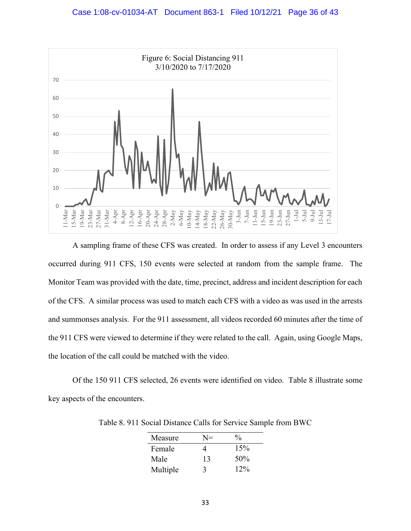

A sampling frame of these CFS was created. In order to assess if any Level 3 encounters occurred during 911 CFS, 150 events were selected at random from the sample frame. The Monitor Team was provided with the date, time, precinct, address and incident description for each of the CFS. A similar process was used to match each CFS with a video as was used in the arrests and summonses analysis. For the 911 assessment, all videos recorded 60 minutes after the time of the 911 CFS were viewed to determine if they were related to the call. Again, using Google Maps, the location of the call could be matched with the video.

Of the 150 911 CFS selected, 26 events were identified on video. Table 8 illustrate some key aspects of the encounters.

| Measure  | N= | $\frac{0}{0}$ |
|----------|----|---------------|
| Female   | 4  | 15%           |
| Male     | 13 | 50%           |
| Multiple | 3  | $12\%$        |
|          |    |               |

Table 8. 911 Social Distance Calls for Service Sample from BWC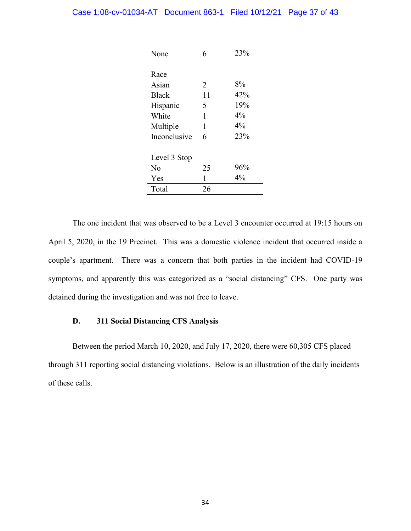| None         | 6  | 23%   |
|--------------|----|-------|
|              |    |       |
| Race         |    |       |
| Asian        | 2  | 8%    |
| <b>Black</b> | 11 | 42%   |
| Hispanic     | 5  | 19%   |
| White        | 1  | 4%    |
| Multiple     | 1  | $4\%$ |
| Inconclusive | 6  | 23%   |
|              |    |       |
| Level 3 Stop |    |       |
| No           | 25 | 96%   |
| Yes          | 1  | $4\%$ |
| Total        | 26 |       |
|              |    |       |

The one incident that was observed to be a Level 3 encounter occurred at 19:15 hours on April 5, 2020, in the 19 Precinct. This was a domestic violence incident that occurred inside a couple's apartment. There was a concern that both parties in the incident had COVID-19 symptoms, and apparently this was categorized as a "social distancing" CFS. One party was detained during the investigation and was not free to leave.

#### <span id="page-41-0"></span>**D. 311 Social Distancing CFS Analysis**

Between the period March 10, 2020, and July 17, 2020, there were 60,305 CFS placed through 311 reporting social distancing violations. Below is an illustration of the daily incidents of these calls.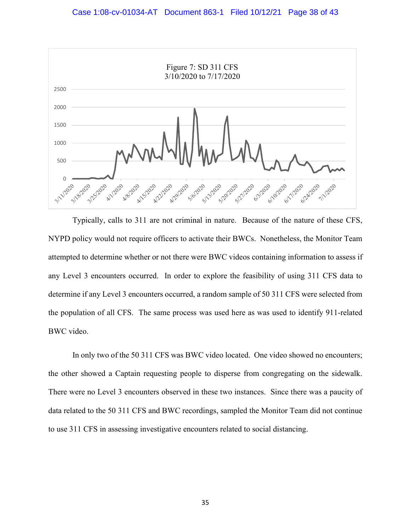

Typically, calls to 311 are not criminal in nature. Because of the nature of these CFS, NYPD policy would not require officers to activate their BWCs. Nonetheless, the Monitor Team attempted to determine whether or not there were BWC videos containing information to assess if any Level 3 encounters occurred. In order to explore the feasibility of using 311 CFS data to determine if any Level 3 encounters occurred, a random sample of 50 311 CFS were selected from the population of all CFS. The same process was used here as was used to identify 911-related BWC video.

In only two of the 50 311 CFS was BWC video located. One video showed no encounters; the other showed a Captain requesting people to disperse from congregating on the sidewalk. There were no Level 3 encounters observed in these two instances. Since there was a paucity of data related to the 50 311 CFS and BWC recordings, sampled the Monitor Team did not continue to use 311 CFS in assessing investigative encounters related to social distancing.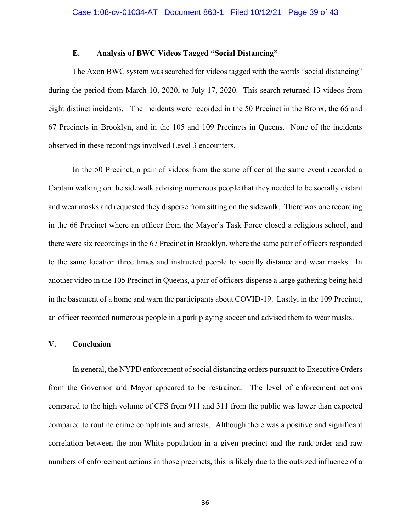#### **E. Analysis of BWC Videos Tagged "Social Distancing"**

<span id="page-43-0"></span>The Axon BWC system was searched for videos tagged with the words "social distancing" during the period from March 10, 2020, to July 17, 2020. This search returned 13 videos from eight distinct incidents. The incidents were recorded in the 50 Precinct in the Bronx, the 66 and 67 Precincts in Brooklyn, and in the 105 and 109 Precincts in Queens. None of the incidents observed in these recordings involved Level 3 encounters.

In the 50 Precinct, a pair of videos from the same officer at the same event recorded a Captain walking on the sidewalk advising numerous people that they needed to be socially distant and wear masks and requested they disperse from sitting on the sidewalk. There was one recording in the 66 Precinct where an officer from the Mayor's Task Force closed a religious school, and there were six recordings in the 67 Precinct in Brooklyn, where the same pair of officers responded to the same location three times and instructed people to socially distance and wear masks. In another video in the 105 Precinct in Queens, a pair of officers disperse a large gathering being held in the basement of a home and warn the participants about COVID-19. Lastly, in the 109 Precinct, an officer recorded numerous people in a park playing soccer and advised them to wear masks.

#### <span id="page-43-1"></span>**V. Conclusion**

In general, the NYPD enforcement of social distancing orders pursuant to Executive Orders from the Governor and Mayor appeared to be restrained. The level of enforcement actions compared to the high volume of CFS from 911 and 311 from the public was lower than expected compared to routine crime complaints and arrests. Although there was a positive and significant correlation between the non-White population in a given precinct and the rank-order and raw numbers of enforcement actions in those precincts, this is likely due to the outsized influence of a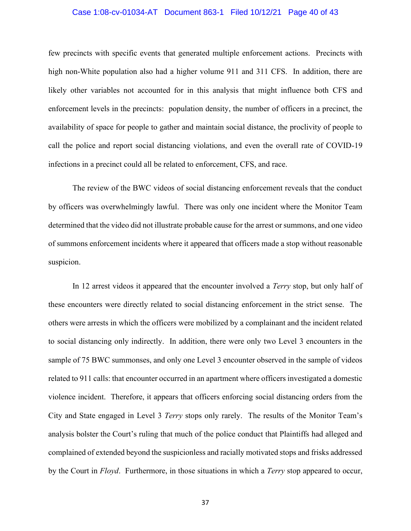#### Case 1:08-cv-01034-AT Document 863-1 Filed 10/12/21 Page 40 of 43

few precincts with specific events that generated multiple enforcement actions. Precincts with high non-White population also had a higher volume 911 and 311 CFS. In addition, there are likely other variables not accounted for in this analysis that might influence both CFS and enforcement levels in the precincts: population density, the number of officers in a precinct, the availability of space for people to gather and maintain social distance, the proclivity of people to call the police and report social distancing violations, and even the overall rate of COVID-19 infections in a precinct could all be related to enforcement, CFS, and race.

The review of the BWC videos of social distancing enforcement reveals that the conduct by officers was overwhelmingly lawful. There was only one incident where the Monitor Team determined that the video did not illustrate probable cause for the arrest or summons, and one video of summons enforcement incidents where it appeared that officers made a stop without reasonable suspicion.

In 12 arrest videos it appeared that the encounter involved a *Terry* stop, but only half of these encounters were directly related to social distancing enforcement in the strict sense. The others were arrests in which the officers were mobilized by a complainant and the incident related to social distancing only indirectly. In addition, there were only two Level 3 encounters in the sample of 75 BWC summonses, and only one Level 3 encounter observed in the sample of videos related to 911 calls: that encounter occurred in an apartment where officers investigated a domestic violence incident. Therefore, it appears that officers enforcing social distancing orders from the City and State engaged in Level 3 *Terry* stops only rarely. The results of the Monitor Team's analysis bolster the Court's ruling that much of the police conduct that Plaintiffs had alleged and complained of extended beyond the suspicionless and racially motivated stops and frisks addressed by the Court in *Floyd*. Furthermore, in those situations in which a *Terry* stop appeared to occur,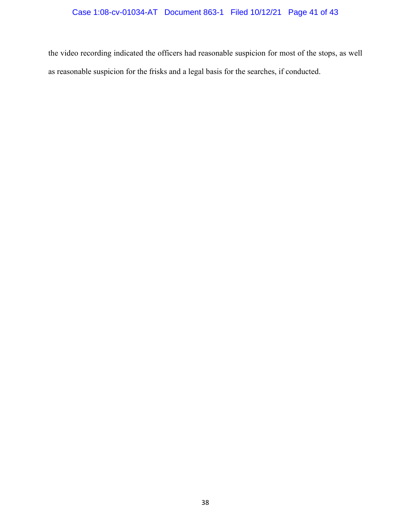the video recording indicated the officers had reasonable suspicion for most of the stops, as well as reasonable suspicion for the frisks and a legal basis for the searches, if conducted.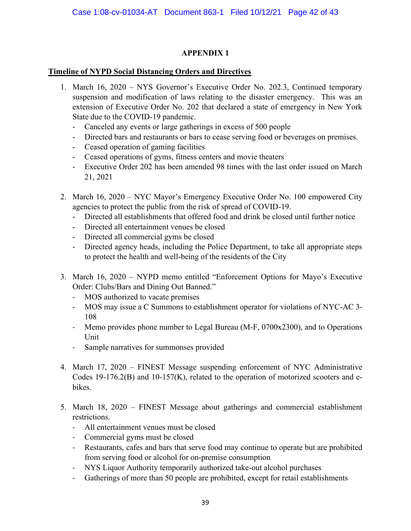#### **APPENDIX 1**

#### <span id="page-46-0"></span>**Timeline of NYPD Social Distancing Orders and Directives**

- 1. March 16, 2020 NYS Governor's Executive Order No. 202.3, Continued temporary suspension and modification of laws relating to the disaster emergency. This was an extension of Executive Order No. 202 that declared a state of emergency in New York State due to the COVID-19 pandemic.
	- Canceled any events or large gatherings in excess of 500 people
	- Directed bars and restaurants or bars to cease serving food or beverages on premises.
	- Ceased operation of gaming facilities
	- Ceased operations of gyms, fitness centers and movie theaters
	- Executive Order 202 has been amended 98 times with the last order issued on March 21, 2021
- 2. March 16, 2020 NYC Mayor's Emergency Executive Order No. 100 empowered City agencies to protect the public from the risk of spread of COVID-19.
	- Directed all establishments that offered food and drink be closed until further notice
	- Directed all entertainment venues be closed
	- Directed all commercial gyms be closed
	- Directed agency heads, including the Police Department, to take all appropriate steps to protect the health and well-being of the residents of the City
- 3. March 16, 2020 NYPD memo entitled "Enforcement Options for Mayo's Executive Order: Clubs/Bars and Dining Out Banned."
	- MOS authorized to vacate premises
	- MOS may issue a C Summons to establishment operator for violations of NYC-AC 3- 108
	- Memo provides phone number to Legal Bureau (M-F, 0700x2300), and to Operations Unit
	- Sample narratives for summonses provided
- 4. March 17, 2020 FINEST Message suspending enforcement of NYC Administrative Codes 19-176.2(B) and 10-157(K), related to the operation of motorized scooters and ebikes.
- 5. March 18, 2020 FINEST Message about gatherings and commercial establishment restrictions.
	- All entertainment venues must be closed
	- Commercial gyms must be closed
	- Restaurants, cafes and bars that serve food may continue to operate but are prohibited from serving food or alcohol for on-premise consumption
	- NYS Liquor Authority temporarily authorized take-out alcohol purchases
	- Gatherings of more than 50 people are prohibited, except for retail establishments